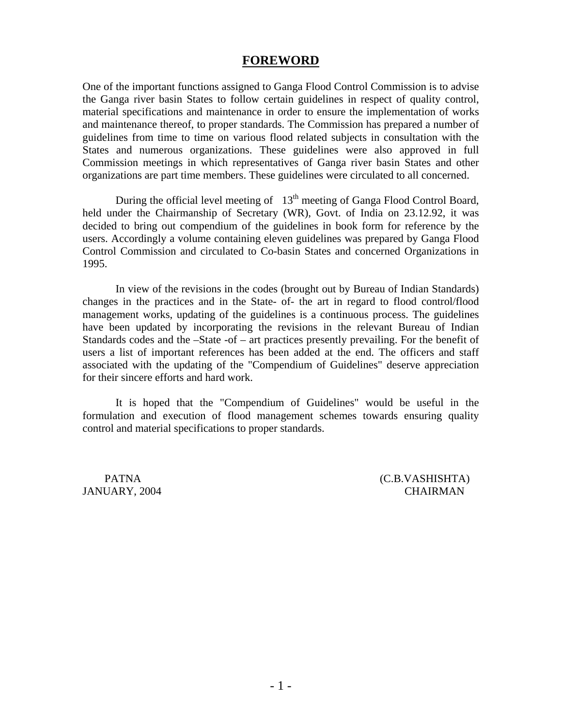## **FOREWORD**

One of the important functions assigned to Ganga Flood Control Commission is to advise the Ganga river basin States to follow certain guidelines in respect of quality control, material specifications and maintenance in order to ensure the implementation of works and maintenance thereof, to proper standards. The Commission has prepared a number of guidelines from time to time on various flood related subjects in consultation with the States and numerous organizations. These guidelines were also approved in full Commission meetings in which representatives of Ganga river basin States and other organizations are part time members. These guidelines were circulated to all concerned.

During the official level meeting of  $13<sup>th</sup>$  meeting of Ganga Flood Control Board, held under the Chairmanship of Secretary (WR), Govt. of India on 23.12.92, it was decided to bring out compendium of the guidelines in book form for reference by the users. Accordingly a volume containing eleven guidelines was prepared by Ganga Flood Control Commission and circulated to Co-basin States and concerned Organizations in 1995.

 In view of the revisions in the codes (brought out by Bureau of Indian Standards) changes in the practices and in the State- of- the art in regard to flood control/flood management works, updating of the guidelines is a continuous process. The guidelines have been updated by incorporating the revisions in the relevant Bureau of Indian Standards codes and the –State -of – art practices presently prevailing. For the benefit of users a list of important references has been added at the end. The officers and staff associated with the updating of the "Compendium of Guidelines" deserve appreciation for their sincere efforts and hard work.

 It is hoped that the "Compendium of Guidelines" would be useful in the formulation and execution of flood management schemes towards ensuring quality control and material specifications to proper standards.

PATNA (C.B.VASHISHTA) JANUARY, 2004 CHAIRMAN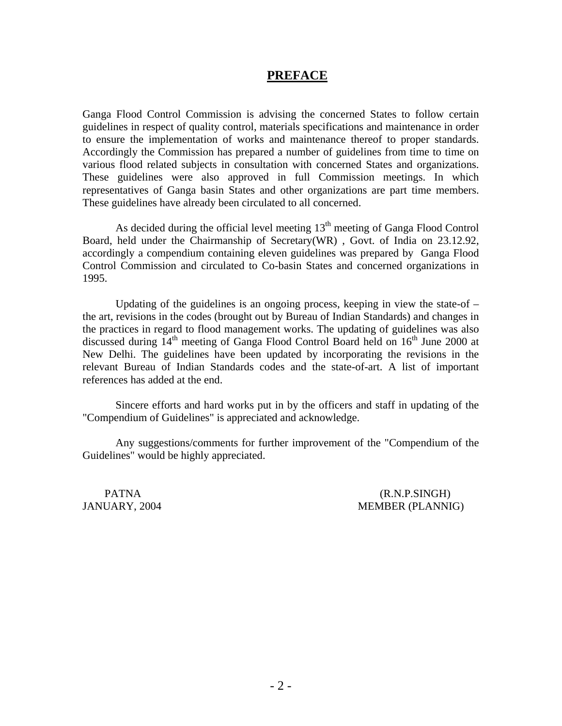## **PREFACE**

Ganga Flood Control Commission is advising the concerned States to follow certain guidelines in respect of quality control, materials specifications and maintenance in order to ensure the implementation of works and maintenance thereof to proper standards. Accordingly the Commission has prepared a number of guidelines from time to time on various flood related subjects in consultation with concerned States and organizations. These guidelines were also approved in full Commission meetings. In which representatives of Ganga basin States and other organizations are part time members. These guidelines have already been circulated to all concerned.

As decided during the official level meeting  $13<sup>th</sup>$  meeting of Ganga Flood Control Board, held under the Chairmanship of Secretary(WR) , Govt. of India on 23.12.92, accordingly a compendium containing eleven guidelines was prepared by Ganga Flood Control Commission and circulated to Co-basin States and concerned organizations in 1995.

Updating of the guidelines is an ongoing process, keeping in view the state-of  $$ the art, revisions in the codes (brought out by Bureau of Indian Standards) and changes in the practices in regard to flood management works. The updating of guidelines was also discussed during  $14<sup>th</sup>$  meeting of Ganga Flood Control Board held on  $16<sup>th</sup>$  June 2000 at New Delhi. The guidelines have been updated by incorporating the revisions in the relevant Bureau of Indian Standards codes and the state-of-art. A list of important references has added at the end.

 Sincere efforts and hard works put in by the officers and staff in updating of the "Compendium of Guidelines" is appreciated and acknowledge.

 Any suggestions/comments for further improvement of the "Compendium of the Guidelines" would be highly appreciated.

PATNA (R.N.P.SINGH) JANUARY, 2004 MEMBER (PLANNIG)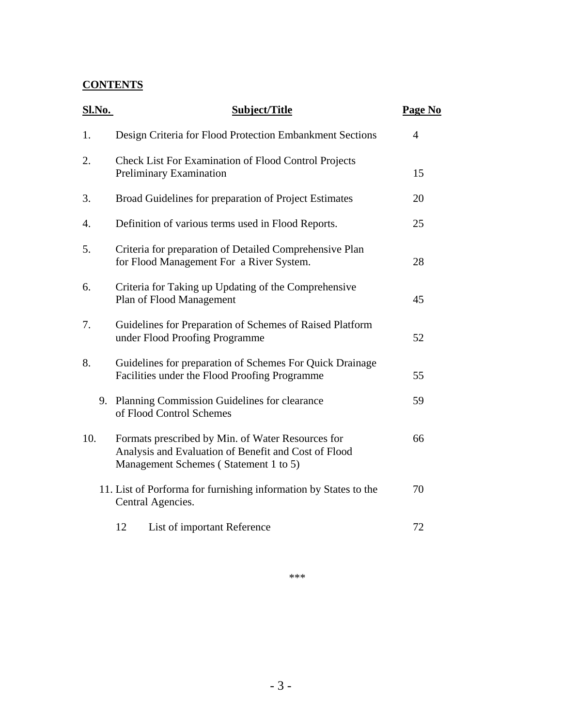## **CONTENTS**

| <b>Sl.No.</b> | <b>Subject/Title</b>                                                                                                                               | Page No        |
|---------------|----------------------------------------------------------------------------------------------------------------------------------------------------|----------------|
| 1.            | Design Criteria for Flood Protection Embankment Sections                                                                                           | $\overline{4}$ |
| 2.            | <b>Check List For Examination of Flood Control Projects</b><br>Preliminary Examination                                                             | 15             |
| 3.            | Broad Guidelines for preparation of Project Estimates                                                                                              | 20             |
| 4.            | Definition of various terms used in Flood Reports.                                                                                                 | 25             |
| 5.            | Criteria for preparation of Detailed Comprehensive Plan<br>for Flood Management For a River System.                                                | 28             |
| 6.            | Criteria for Taking up Updating of the Comprehensive<br>Plan of Flood Management                                                                   | 45             |
| 7.            | Guidelines for Preparation of Schemes of Raised Platform<br>under Flood Proofing Programme                                                         | 52             |
| 8.            | Guidelines for preparation of Schemes For Quick Drainage<br>Facilities under the Flood Proofing Programme                                          | 55             |
|               | 9. Planning Commission Guidelines for clearance<br>of Flood Control Schemes                                                                        | 59             |
| 10.           | Formats prescribed by Min. of Water Resources for<br>Analysis and Evaluation of Benefit and Cost of Flood<br>Management Schemes (Statement 1 to 5) | 66             |
|               | 11. List of Porforma for furnishing information by States to the<br>Central Agencies.                                                              | 70             |
|               | 12<br>List of important Reference                                                                                                                  | 72             |

\*\*\*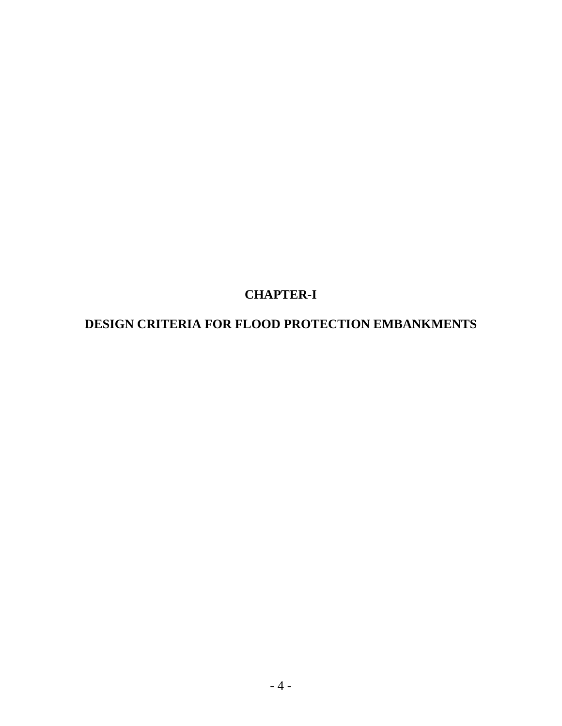# **CHAPTER-I**

# **DESIGN CRITERIA FOR FLOOD PROTECTION EMBANKMENTS**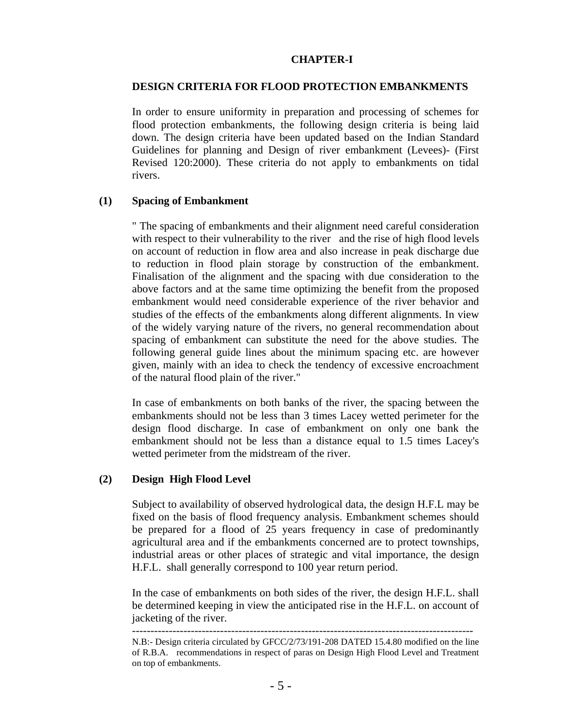#### **CHAPTER-I**

#### **DESIGN CRITERIA FOR FLOOD PROTECTION EMBANKMENTS**

In order to ensure uniformity in preparation and processing of schemes for flood protection embankments, the following design criteria is being laid down. The design criteria have been updated based on the Indian Standard Guidelines for planning and Design of river embankment (Levees)- (First Revised 120:2000). These criteria do not apply to embankments on tidal rivers.

#### **(1) Spacing of Embankment**

" The spacing of embankments and their alignment need careful consideration with respect to their vulnerability to the river and the rise of high flood levels on account of reduction in flow area and also increase in peak discharge due to reduction in flood plain storage by construction of the embankment. Finalisation of the alignment and the spacing with due consideration to the above factors and at the same time optimizing the benefit from the proposed embankment would need considerable experience of the river behavior and studies of the effects of the embankments along different alignments. In view of the widely varying nature of the rivers, no general recommendation about spacing of embankment can substitute the need for the above studies. The following general guide lines about the minimum spacing etc. are however given, mainly with an idea to check the tendency of excessive encroachment of the natural flood plain of the river."

In case of embankments on both banks of the river, the spacing between the embankments should not be less than 3 times Lacey wetted perimeter for the design flood discharge. In case of embankment on only one bank the embankment should not be less than a distance equal to 1.5 times Lacey's wetted perimeter from the midstream of the river.

## **(2) Design High Flood Level**

Subject to availability of observed hydrological data, the design H.F.L may be fixed on the basis of flood frequency analysis. Embankment schemes should be prepared for a flood of 25 years frequency in case of predominantly agricultural area and if the embankments concerned are to protect townships, industrial areas or other places of strategic and vital importance, the design H.F.L. shall generally correspond to 100 year return period.

In the case of embankments on both sides of the river, the design H.F.L. shall be determined keeping in view the anticipated rise in the H.F.L. on account of jacketing of the river.

---------------------------------------------------------------------------------------------

N.B:- Design criteria circulated by GFCC/2/73/191-208 DATED 15.4.80 modified on the line of R.B.A. recommendations in respect of paras on Design High Flood Level and Treatment on top of embankments.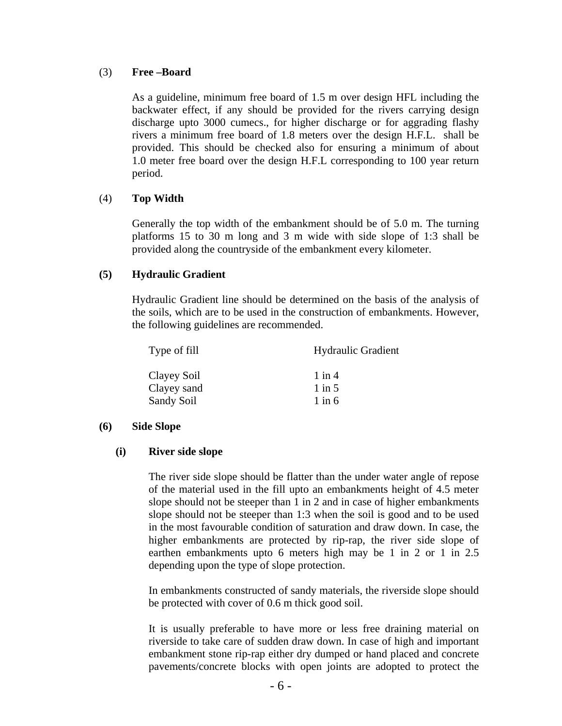## (3) **Free –Board**

As a guideline, minimum free board of 1.5 m over design HFL including the backwater effect, if any should be provided for the rivers carrying design discharge upto 3000 cumecs., for higher discharge or for aggrading flashy rivers a minimum free board of 1.8 meters over the design H.F.L. shall be provided. This should be checked also for ensuring a minimum of about 1.0 meter free board over the design H.F.L corresponding to 100 year return period.

## (4) **Top Width**

Generally the top width of the embankment should be of 5.0 m. The turning platforms 15 to 30 m long and 3 m wide with side slope of 1:3 shall be provided along the countryside of the embankment every kilometer.

## **(5) Hydraulic Gradient**

Hydraulic Gradient line should be determined on the basis of the analysis of the soils, which are to be used in the construction of embankments. However, the following guidelines are recommended.

| Type of fill | <b>Hydraulic Gradient</b> |  |
|--------------|---------------------------|--|
| Clayey Soil  | $1$ in $4$                |  |
| Clayey sand  | $1$ in 5                  |  |
| Sandy Soil   | $1$ in 6                  |  |

## **(6) Side Slope**

## **(i) River side slope**

The river side slope should be flatter than the under water angle of repose of the material used in the fill upto an embankments height of 4.5 meter slope should not be steeper than 1 in 2 and in case of higher embankments slope should not be steeper than 1:3 when the soil is good and to be used in the most favourable condition of saturation and draw down. In case, the higher embankments are protected by rip-rap, the river side slope of earthen embankments upto 6 meters high may be 1 in 2 or 1 in 2.5 depending upon the type of slope protection.

In embankments constructed of sandy materials, the riverside slope should be protected with cover of 0.6 m thick good soil.

It is usually preferable to have more or less free draining material on riverside to take care of sudden draw down. In case of high and important embankment stone rip-rap either dry dumped or hand placed and concrete pavements/concrete blocks with open joints are adopted to protect the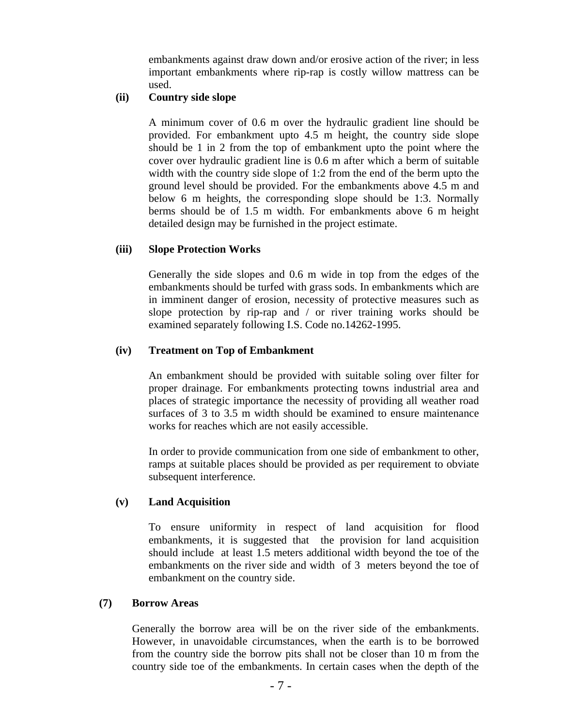embankments against draw down and/or erosive action of the river; in less important embankments where rip-rap is costly willow mattress can be used.

## **(ii) Country side slope**

A minimum cover of 0.6 m over the hydraulic gradient line should be provided. For embankment upto 4.5 m height, the country side slope should be 1 in 2 from the top of embankment upto the point where the cover over hydraulic gradient line is 0.6 m after which a berm of suitable width with the country side slope of 1:2 from the end of the berm upto the ground level should be provided. For the embankments above 4.5 m and below 6 m heights, the corresponding slope should be 1:3. Normally berms should be of 1.5 m width. For embankments above 6 m height detailed design may be furnished in the project estimate.

## **(iii) Slope Protection Works**

Generally the side slopes and 0.6 m wide in top from the edges of the embankments should be turfed with grass sods. In embankments which are in imminent danger of erosion, necessity of protective measures such as slope protection by rip-rap and / or river training works should be examined separately following I.S. Code no.14262-1995.

## **(iv) Treatment on Top of Embankment**

An embankment should be provided with suitable soling over filter for proper drainage. For embankments protecting towns industrial area and places of strategic importance the necessity of providing all weather road surfaces of 3 to 3.5 m width should be examined to ensure maintenance works for reaches which are not easily accessible.

In order to provide communication from one side of embankment to other, ramps at suitable places should be provided as per requirement to obviate subsequent interference.

## **(v) Land Acquisition**

To ensure uniformity in respect of land acquisition for flood embankments, it is suggested that the provision for land acquisition should include at least 1.5 meters additional width beyond the toe of the embankments on the river side and width of 3 meters beyond the toe of embankment on the country side.

## **(7) Borrow Areas**

Generally the borrow area will be on the river side of the embankments. However, in unavoidable circumstances, when the earth is to be borrowed from the country side the borrow pits shall not be closer than 10 m from the country side toe of the embankments. In certain cases when the depth of the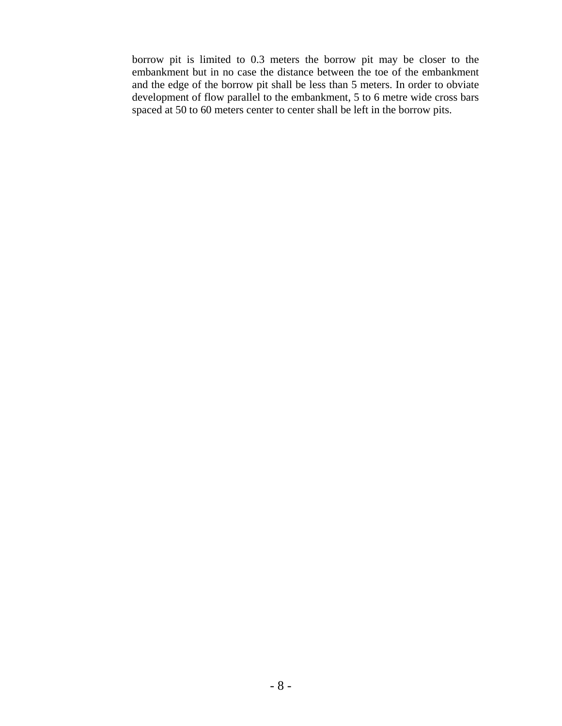borrow pit is limited to 0.3 meters the borrow pit may be closer to the embankment but in no case the distance between the toe of the embankment and the edge of the borrow pit shall be less than 5 meters. In order to obviate development of flow parallel to the embankment, 5 to 6 metre wide cross bars spaced at 50 to 60 meters center to center shall be left in the borrow pits.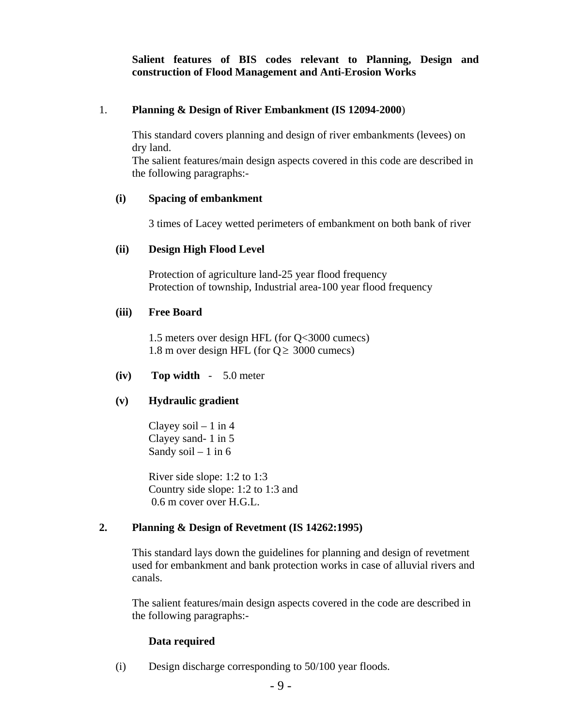**Salient features of BIS codes relevant to Planning, Design and construction of Flood Management and Anti-Erosion Works** 

## 1. **Planning & Design of River Embankment (IS 12094-2000**)

 This standard covers planning and design of river embankments (levees) on dry land.

The salient features/main design aspects covered in this code are described in the following paragraphs:-

## **(i) Spacing of embankment**

3 times of Lacey wetted perimeters of embankment on both bank of river

## **(ii) Design High Flood Level**

Protection of agriculture land-25 year flood frequency Protection of township, Industrial area-100 year flood frequency

## **(iii) Free Board**

1.5 meters over design HFL (for Q<3000 cumecs) 1.8 m over design HFL (for  $Q \ge 3000$  cumecs)

## **(iv) Top width** - 5.0 meter

## **(v) Hydraulic gradient**

Clayey soil  $-1$  in 4 Clayey sand- 1 in 5 Sandy soil  $-1$  in 6

River side slope: 1:2 to 1:3 Country side slope: 1:2 to 1:3 and 0.6 m cover over H.G.L.

## **2. Planning & Design of Revetment (IS 14262:1995)**

This standard lays down the guidelines for planning and design of revetment used for embankment and bank protection works in case of alluvial rivers and canals.

The salient features/main design aspects covered in the code are described in the following paragraphs:-

## **Data required**

(i) Design discharge corresponding to 50/100 year floods.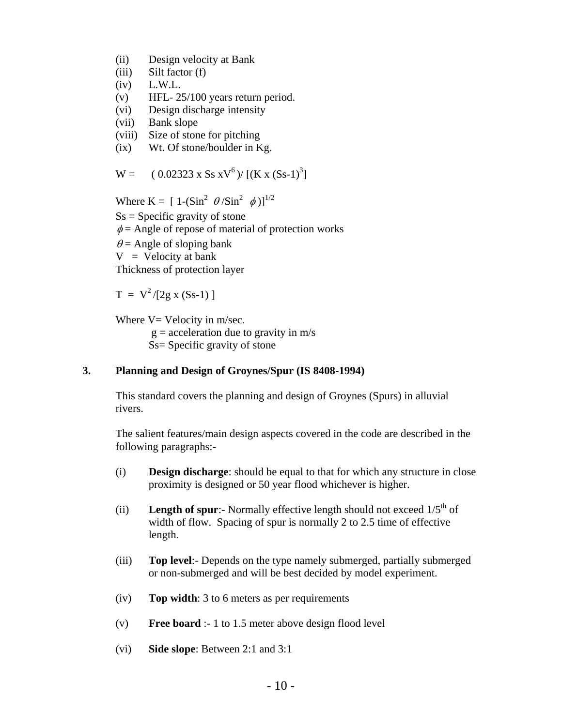- (ii) Design velocity at Bank
- (iii) Silt factor (f)
- (iv) L.W.L.
- (v) HFL- 25/100 years return period.
- (vi) Design discharge intensity
- (vii) Bank slope
- (viii) Size of stone for pitching
- (ix) Wt. Of stone/boulder in Kg.

$$
W = (0.02323 \times S s \times V^6) / [(K x (S s-1)^3]
$$

Where  $K = [1 - (Sin^2 \theta / Sin^2 \phi)]^{1/2}$  $S_s$  = Specific gravity of stone  $\phi$  = Angle of repose of material of protection works  $\theta$  = Angle of sloping bank  $V =$  Velocity at bank Thickness of protection layer

 $T = V^2/[2g x (Ss-1)]$ 

Where  $V=$  Velocity in m/sec.

 $g =$  acceleration due to gravity in  $m/s$ Ss= Specific gravity of stone

## **3. Planning and Design of Groynes/Spur (IS 8408-1994)**

This standard covers the planning and design of Groynes (Spurs) in alluvial rivers.

The salient features/main design aspects covered in the code are described in the following paragraphs:-

- (i) **Design discharge**: should be equal to that for which any structure in close proximity is designed or 50 year flood whichever is higher.
- (ii) **Length of spur**:- Normally effective length should not exceed  $1/5<sup>th</sup>$  of width of flow. Spacing of spur is normally 2 to 2.5 time of effective length.
- (iii) **Top level**:- Depends on the type namely submerged, partially submerged or non-submerged and will be best decided by model experiment.
- (iv) **Top width**: 3 to 6 meters as per requirements
- (v) **Free board** :- 1 to 1.5 meter above design flood level
- (vi) **Side slope**: Between 2:1 and 3:1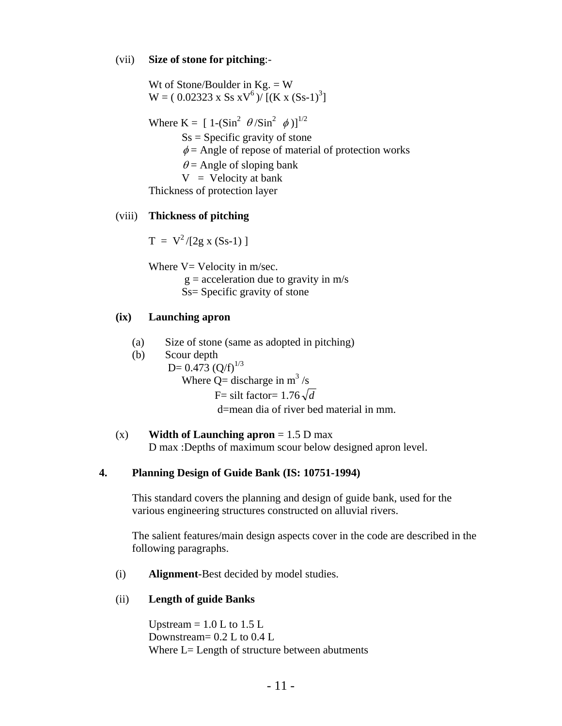#### (vii) **Size of stone for pitching**:-

Wt of Stone/Boulder in  $Kg = W$  $W = (0.02323 \times S s xV^6) / [(K x (S s-1)^3]$ Where K =  $[1-(Sin^2 \theta/Sin^2 \phi)]^{1/2}$  $S_s$  = Specific gravity of stone  $\phi$  = Angle of repose of material of protection works  $\theta$  = Angle of sloping bank  $V =$  Velocity at bank Thickness of protection layer

## (viii) **Thickness of pitching**

 $T = V^2/[2g x (Ss-1)]$ 

Where  $V=$  Velocity in m/sec.

- $g =$  acceleration due to gravity in  $m/s$
- Ss= Specific gravity of stone

## **(ix) Launching apron**

- (a) Size of stone (same as adopted in pitching)
- (b) Scour depth D=  $0.473$  (Q/f)<sup>1/3</sup> Where  $Q =$  discharge in m<sup>3</sup>/s F = silt factor =  $1.76\sqrt{d}$ d=mean dia of river bed material in mm.

## (x) **Width of Launching apron** = 1.5 D max

D max :Depths of maximum scour below designed apron level.

## **4. Planning Design of Guide Bank (IS: 10751-1994)**

This standard covers the planning and design of guide bank, used for the various engineering structures constructed on alluvial rivers.

The salient features/main design aspects cover in the code are described in the following paragraphs.

(i) **Alignment**-Best decided by model studies.

## (ii) **Length of guide Banks**

Upstream  $= 1.0$  L to 1.5 L Downstream= 0.2 L to 0.4 L Where L= Length of structure between abutments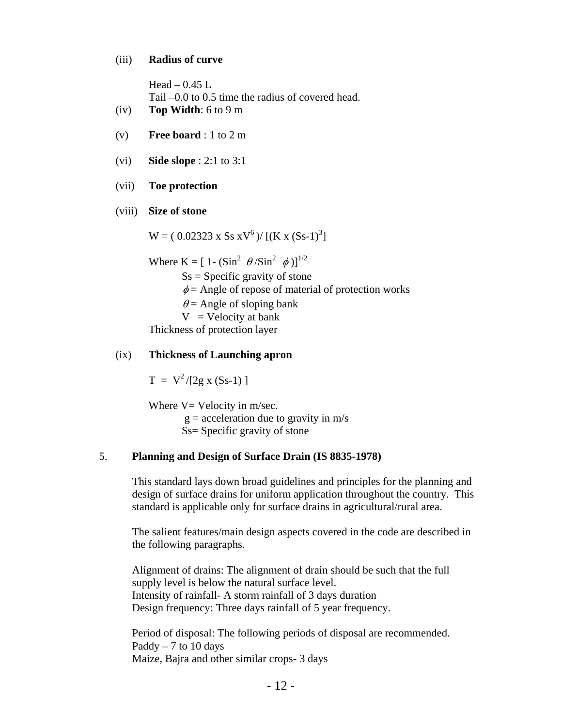#### (iii) **Radius of curve**

| Head $-0.45$ L                                      |
|-----------------------------------------------------|
| Tail $-0.0$ to 0.5 time the radius of covered head. |
| $(iv)$ Top Width: 6 to 9 m                          |

- 
- (v) **Free board** : 1 to 2 m
- (vi) **Side slope** : 2:1 to 3:1

#### (vii) **Toe protection**

#### (viii) **Size of stone**

 $W = (0.02323 \times S s xV^6) / [(K x (S s-1)^3]$ 

Where K =  $[1 - (\text{Sin}^2 \theta / \text{Sin}^2 \phi)]^{1/2}$ 

 $S_s$  = Specific gravity of stone

 $\phi$  = Angle of repose of material of protection works

 $\theta$  = Angle of sloping bank

 $V =$  Velocity at bank

Thickness of protection layer

## (ix) **Thickness of Launching apron**

 $T = V^2/[2g x (Ss-1)]$ 

Where  $V=$  Velocity in m/sec.  $g =$  acceleration due to gravity in  $m/s$ Ss= Specific gravity of stone

## 5. **Planning and Design of Surface Drain (IS 8835-1978)**

This standard lays down broad guidelines and principles for the planning and design of surface drains for uniform application throughout the country. This standard is applicable only for surface drains in agricultural/rural area.

The salient features/main design aspects covered in the code are described in the following paragraphs.

Alignment of drains: The alignment of drain should be such that the full supply level is below the natural surface level. Intensity of rainfall- A storm rainfall of 3 days duration Design frequency: Three days rainfall of 5 year frequency.

Period of disposal: The following periods of disposal are recommended. Paddy  $-7$  to 10 days Maize, Bajra and other similar crops- 3 days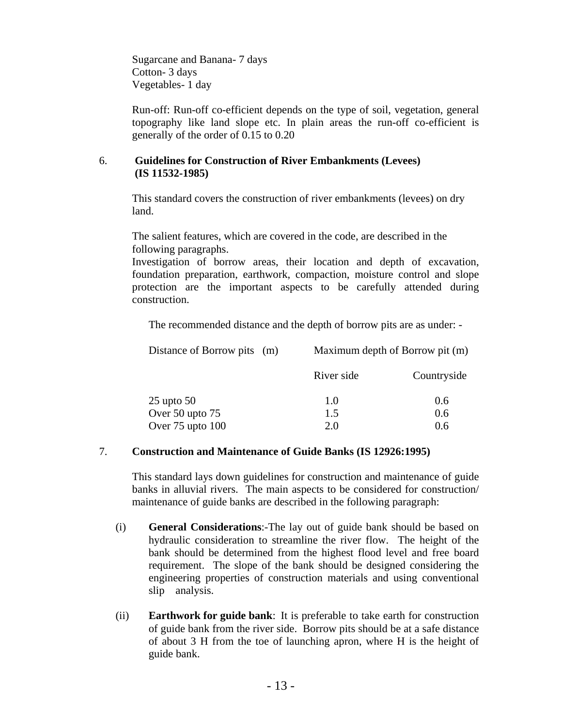Sugarcane and Banana- 7 days Cotton- 3 days Vegetables- 1 day

Run-off: Run-off co-efficient depends on the type of soil, vegetation, general topography like land slope etc. In plain areas the run-off co-efficient is generally of the order of 0.15 to 0.20

## 6. **Guidelines for Construction of River Embankments (Levees) (IS 11532-1985)**

This standard covers the construction of river embankments (levees) on dry land.

The salient features, which are covered in the code, are described in the following paragraphs.

Investigation of borrow areas, their location and depth of excavation, foundation preparation, earthwork, compaction, moisture control and slope protection are the important aspects to be carefully attended during construction.

The recommended distance and the depth of borrow pits are as under: -

| Distance of Borrow pits (m) | Maximum depth of Borrow pit (m) |             |
|-----------------------------|---------------------------------|-------------|
|                             | River side                      | Countryside |
| $25$ upto $50$              | 1.0                             | 0.6         |
| Over 50 upto 75             | 1.5                             | 0.6         |
| Over 75 upto 100            | 2.0                             | 0.6         |

## 7. **Construction and Maintenance of Guide Banks (IS 12926:1995)**

This standard lays down guidelines for construction and maintenance of guide banks in alluvial rivers. The main aspects to be considered for construction/ maintenance of guide banks are described in the following paragraph:

- (i) **General Considerations**:-The lay out of guide bank should be based on hydraulic consideration to streamline the river flow. The height of the bank should be determined from the highest flood level and free board requirement. The slope of the bank should be designed considering the engineering properties of construction materials and using conventional slip analysis.
- (ii) **Earthwork for guide bank**: It is preferable to take earth for construction of guide bank from the river side. Borrow pits should be at a safe distance of about 3 H from the toe of launching apron, where H is the height of guide bank.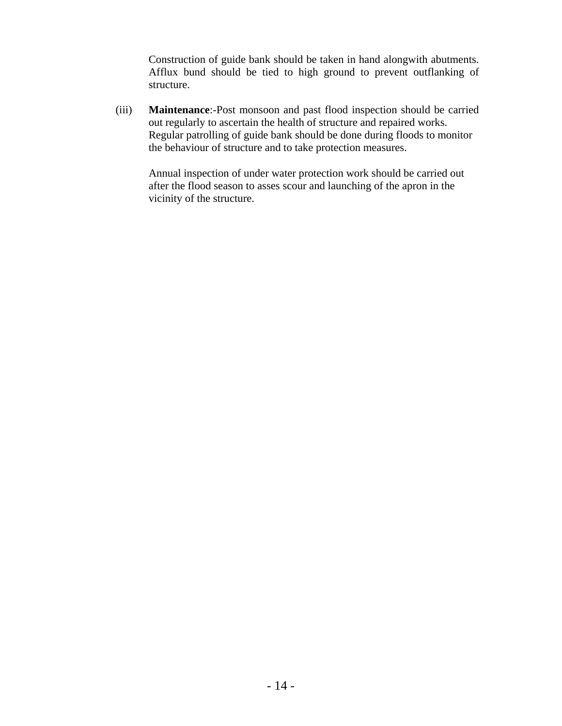Construction of guide bank should be taken in hand alongwith abutments. Afflux bund should be tied to high ground to prevent outflanking of structure.

(iii) **Maintenance**:-Post monsoon and past flood inspection should be carried out regularly to ascertain the health of structure and repaired works. Regular patrolling of guide bank should be done during floods to monitor the behaviour of structure and to take protection measures.

Annual inspection of under water protection work should be carried out after the flood season to asses scour and launching of the apron in the vicinity of the structure.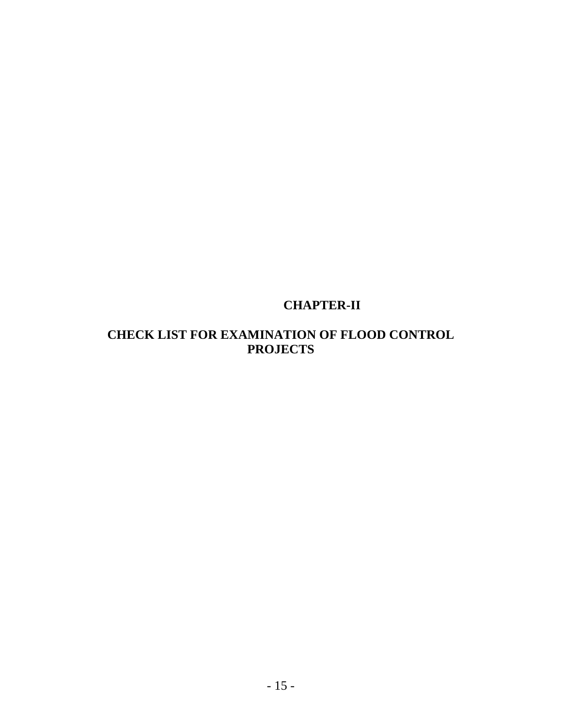# **CHAPTER-II**

## **CHECK LIST FOR EXAMINATION OF FLOOD CONTROL PROJECTS**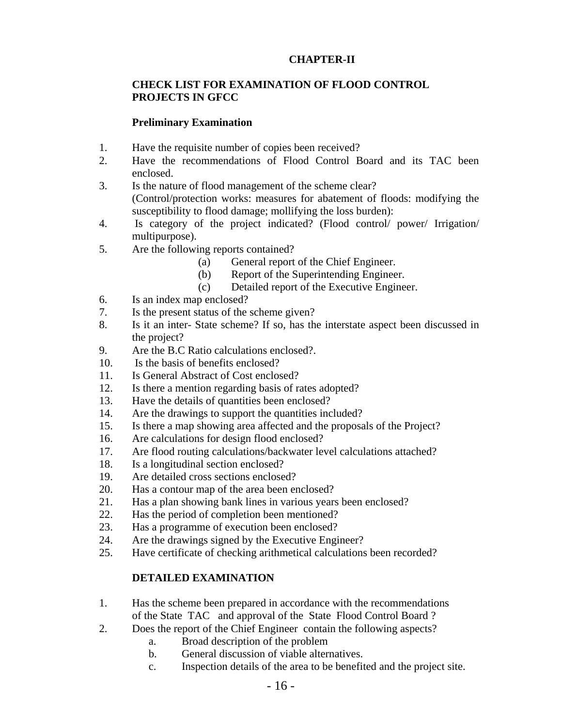## **CHAPTER-II**

## **CHECK LIST FOR EXAMINATION OF FLOOD CONTROL PROJECTS IN GFCC**

## **Preliminary Examination**

- 1. Have the requisite number of copies been received?
- 2. Have the recommendations of Flood Control Board and its TAC been enclosed.
- 3. Is the nature of flood management of the scheme clear? (Control/protection works: measures for abatement of floods: modifying the susceptibility to flood damage; mollifying the loss burden):
- 4. Is category of the project indicated? (Flood control/ power/ Irrigation/ multipurpose).
- 5. Are the following reports contained?
	- (a) General report of the Chief Engineer.
	- (b) Report of the Superintending Engineer.
	- (c) Detailed report of the Executive Engineer.
- 6. Is an index map enclosed?
- 7. Is the present status of the scheme given?
- 8. Is it an inter- State scheme? If so, has the interstate aspect been discussed in the project?
- 9. Are the B.C Ratio calculations enclosed?.
- 10. Is the basis of benefits enclosed?
- 11. Is General Abstract of Cost enclosed?
- 12. Is there a mention regarding basis of rates adopted?
- 13. Have the details of quantities been enclosed?
- 14. Are the drawings to support the quantities included?
- 15. Is there a map showing area affected and the proposals of the Project?
- 16. Are calculations for design flood enclosed?
- 17. Are flood routing calculations/backwater level calculations attached?
- 18. Is a longitudinal section enclosed?
- 19. Are detailed cross sections enclosed?
- 20. Has a contour map of the area been enclosed?
- 21. Has a plan showing bank lines in various years been enclosed?
- 22. Has the period of completion been mentioned?
- 23. Has a programme of execution been enclosed?
- 24. Are the drawings signed by the Executive Engineer?
- 25. Have certificate of checking arithmetical calculations been recorded?

## **DETAILED EXAMINATION**

- 1. Has the scheme been prepared in accordance with the recommendations of the State TAC and approval of the State Flood Control Board ?
- 2. Does the report of the Chief Engineer contain the following aspects?
	- a. Broad description of the problem
	- b. General discussion of viable alternatives.
	- c. Inspection details of the area to be benefited and the project site.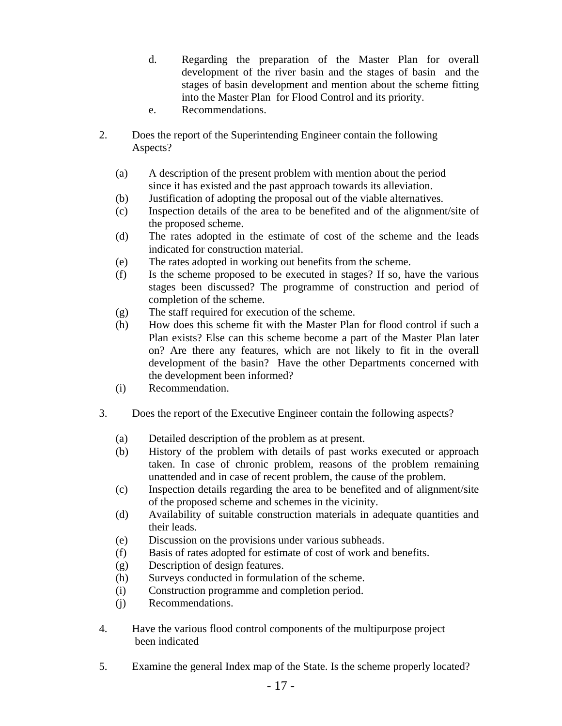- d. Regarding the preparation of the Master Plan for overall development of the river basin and the stages of basin and the stages of basin development and mention about the scheme fitting into the Master Plan for Flood Control and its priority.
- e. Recommendations.
- 2. Does the report of the Superintending Engineer contain the following Aspects?
	- (a) A description of the present problem with mention about the period since it has existed and the past approach towards its alleviation.
	- (b) Justification of adopting the proposal out of the viable alternatives.
	- (c) Inspection details of the area to be benefited and of the alignment/site of the proposed scheme.
	- (d) The rates adopted in the estimate of cost of the scheme and the leads indicated for construction material.
	- (e) The rates adopted in working out benefits from the scheme.
	- (f) Is the scheme proposed to be executed in stages? If so, have the various stages been discussed? The programme of construction and period of completion of the scheme.
	- (g) The staff required for execution of the scheme.
	- (h) How does this scheme fit with the Master Plan for flood control if such a Plan exists? Else can this scheme become a part of the Master Plan later on? Are there any features, which are not likely to fit in the overall development of the basin? Have the other Departments concerned with the development been informed?
	- (i) Recommendation.
- 3. Does the report of the Executive Engineer contain the following aspects?
	- (a) Detailed description of the problem as at present.
	- (b) History of the problem with details of past works executed or approach taken. In case of chronic problem, reasons of the problem remaining unattended and in case of recent problem, the cause of the problem.
	- (c) Inspection details regarding the area to be benefited and of alignment/site of the proposed scheme and schemes in the vicinity.
	- (d) Availability of suitable construction materials in adequate quantities and their leads.
	- (e) Discussion on the provisions under various subheads.
	- (f) Basis of rates adopted for estimate of cost of work and benefits.
	- (g) Description of design features.
	- (h) Surveys conducted in formulation of the scheme.
	- (i) Construction programme and completion period.
	- (j) Recommendations.
- 4. Have the various flood control components of the multipurpose project been indicated
- 5. Examine the general Index map of the State. Is the scheme properly located?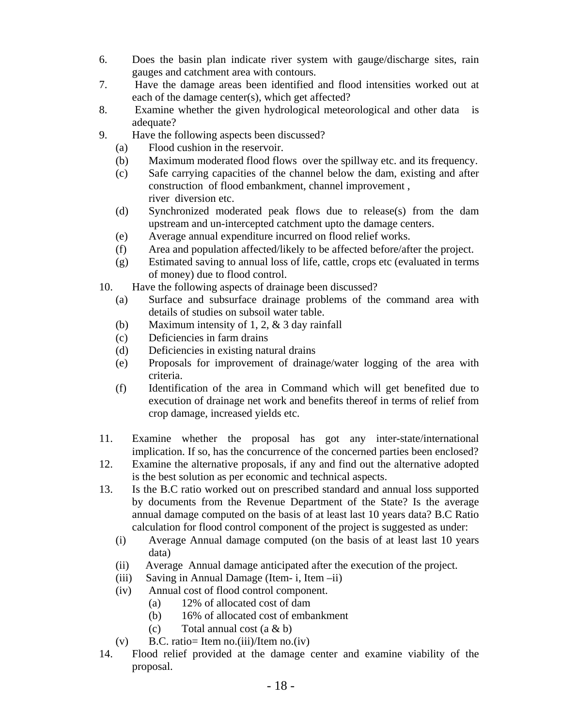- 6. Does the basin plan indicate river system with gauge/discharge sites, rain gauges and catchment area with contours.
- 7. Have the damage areas been identified and flood intensities worked out at each of the damage center(s), which get affected?
- 8. Examine whether the given hydrological meteorological and other data is adequate?
- 9. Have the following aspects been discussed?
	- (a) Flood cushion in the reservoir.
	- (b) Maximum moderated flood flows over the spillway etc. and its frequency.
	- (c) Safe carrying capacities of the channel below the dam, existing and after construction of flood embankment, channel improvement , river diversion etc.
	- (d) Synchronized moderated peak flows due to release(s) from the dam upstream and un-intercepted catchment upto the damage centers.
	- (e) Average annual expenditure incurred on flood relief works.
	- (f) Area and population affected/likely to be affected before/after the project.
	- (g) Estimated saving to annual loss of life, cattle, crops etc (evaluated in terms of money) due to flood control.
- 10. Have the following aspects of drainage been discussed?
	- (a) Surface and subsurface drainage problems of the command area with details of studies on subsoil water table.
	- (b) Maximum intensity of 1, 2, & 3 day rainfall
	- (c) Deficiencies in farm drains
	- (d) Deficiencies in existing natural drains
	- (e) Proposals for improvement of drainage/water logging of the area with criteria.
	- (f) Identification of the area in Command which will get benefited due to execution of drainage net work and benefits thereof in terms of relief from crop damage, increased yields etc.
- 11. Examine whether the proposal has got any inter-state/international implication. If so, has the concurrence of the concerned parties been enclosed?
- 12. Examine the alternative proposals, if any and find out the alternative adopted is the best solution as per economic and technical aspects.
- 13. Is the B.C ratio worked out on prescribed standard and annual loss supported by documents from the Revenue Department of the State? Is the average annual damage computed on the basis of at least last 10 years data? B.C Ratio calculation for flood control component of the project is suggested as under:
	- (i) Average Annual damage computed (on the basis of at least last 10 years data)
	- (ii) Average Annual damage anticipated after the execution of the project.
	- (iii) Saving in Annual Damage (Item- i, Item –ii)
	- (iv) Annual cost of flood control component.
		- (a) 12% of allocated cost of dam
		- (b) 16% of allocated cost of embankment
		- (c) Total annual cost  $(a & b)$
	- (v) B.C. ratio= Item no.(iii)/Item no.(iv)
- 14. Flood relief provided at the damage center and examine viability of the proposal.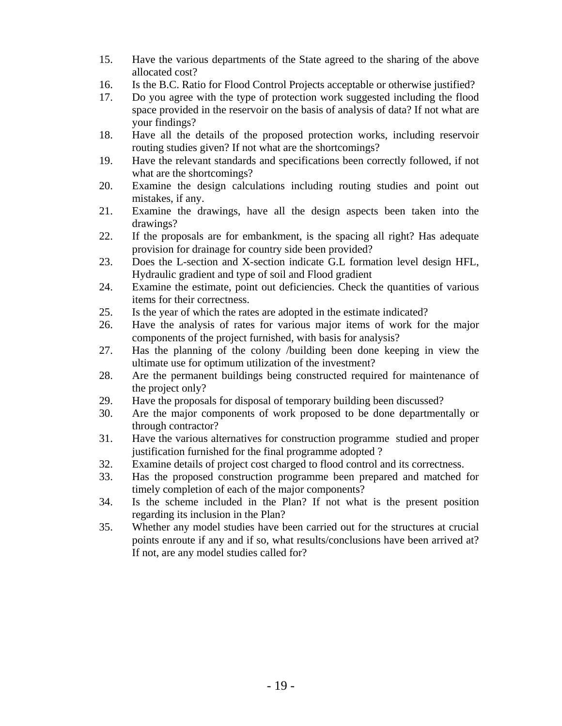- 15. Have the various departments of the State agreed to the sharing of the above allocated cost?
- 16. Is the B.C. Ratio for Flood Control Projects acceptable or otherwise justified?
- 17. Do you agree with the type of protection work suggested including the flood space provided in the reservoir on the basis of analysis of data? If not what are your findings?
- 18. Have all the details of the proposed protection works, including reservoir routing studies given? If not what are the shortcomings?
- 19. Have the relevant standards and specifications been correctly followed, if not what are the shortcomings?
- 20. Examine the design calculations including routing studies and point out mistakes, if any.
- 21. Examine the drawings, have all the design aspects been taken into the drawings?
- 22. If the proposals are for embankment, is the spacing all right? Has adequate provision for drainage for country side been provided?
- 23. Does the L-section and X-section indicate G.L formation level design HFL, Hydraulic gradient and type of soil and Flood gradient
- 24. Examine the estimate, point out deficiencies. Check the quantities of various items for their correctness.
- 25. Is the year of which the rates are adopted in the estimate indicated?
- 26. Have the analysis of rates for various major items of work for the major components of the project furnished, with basis for analysis?
- 27. Has the planning of the colony /building been done keeping in view the ultimate use for optimum utilization of the investment?
- 28. Are the permanent buildings being constructed required for maintenance of the project only?
- 29. Have the proposals for disposal of temporary building been discussed?
- 30. Are the major components of work proposed to be done departmentally or through contractor?
- 31. Have the various alternatives for construction programme studied and proper justification furnished for the final programme adopted ?
- 32. Examine details of project cost charged to flood control and its correctness.
- 33. Has the proposed construction programme been prepared and matched for timely completion of each of the major components?
- 34. Is the scheme included in the Plan? If not what is the present position regarding its inclusion in the Plan?
- 35. Whether any model studies have been carried out for the structures at crucial points enroute if any and if so, what results/conclusions have been arrived at? If not, are any model studies called for?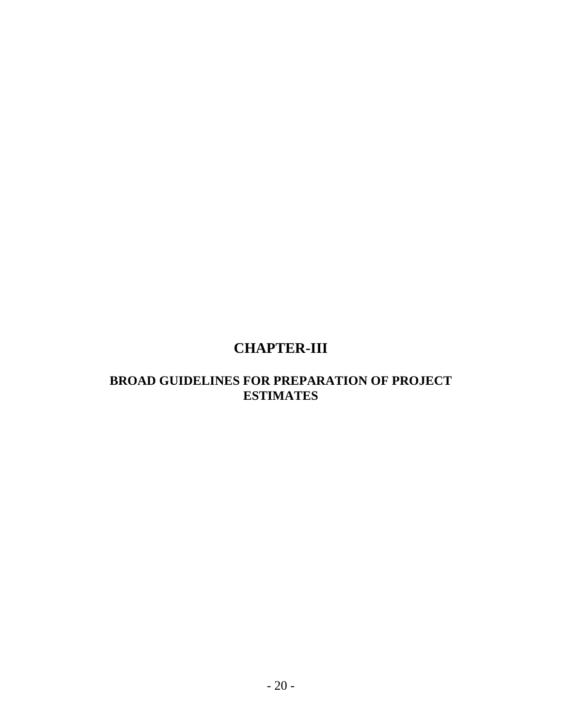# **CHAPTER-III**

## **BROAD GUIDELINES FOR PREPARATION OF PROJECT ESTIMATES**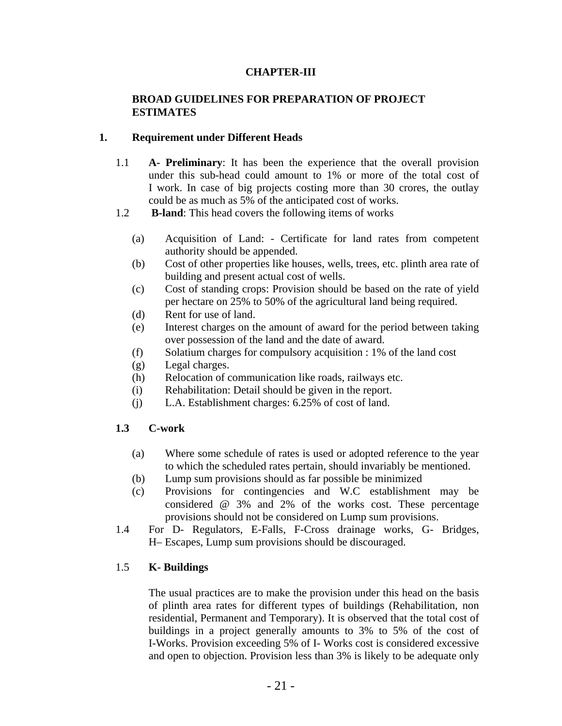## **CHAPTER-III**

## **BROAD GUIDELINES FOR PREPARATION OF PROJECT ESTIMATES**

## **1. Requirement under Different Heads**

- 1.1 **A- Preliminary**: It has been the experience that the overall provision under this sub-head could amount to 1% or more of the total cost of I work. In case of big projects costing more than 30 crores, the outlay could be as much as 5% of the anticipated cost of works.
- 1.2 **B-land**: This head covers the following items of works
	- (a) Acquisition of Land: Certificate for land rates from competent authority should be appended.
	- (b) Cost of other properties like houses, wells, trees, etc. plinth area rate of building and present actual cost of wells.
	- (c) Cost of standing crops: Provision should be based on the rate of yield per hectare on 25% to 50% of the agricultural land being required.
	- (d) Rent for use of land.
	- (e) Interest charges on the amount of award for the period between taking over possession of the land and the date of award.
	- (f) Solatium charges for compulsory acquisition : 1% of the land cost
	- (g) Legal charges.
	- (h) Relocation of communication like roads, railways etc.
	- (i) Rehabilitation: Detail should be given in the report.
	- (j) L.A. Establishment charges: 6.25% of cost of land.

## **1.3 C-work**

- (a) Where some schedule of rates is used or adopted reference to the year to which the scheduled rates pertain, should invariably be mentioned.
- (b) Lump sum provisions should as far possible be minimized
- (c) Provisions for contingencies and W.C establishment may be considered @ 3% and 2% of the works cost. These percentage provisions should not be considered on Lump sum provisions.
- 1.4 For D- Regulators, E-Falls, F-Cross drainage works, G- Bridges, H– Escapes, Lump sum provisions should be discouraged.

## 1.5 **K- Buildings**

The usual practices are to make the provision under this head on the basis of plinth area rates for different types of buildings (Rehabilitation, non residential, Permanent and Temporary). It is observed that the total cost of buildings in a project generally amounts to 3% to 5% of the cost of I-Works. Provision exceeding 5% of I- Works cost is considered excessive and open to objection. Provision less than 3% is likely to be adequate only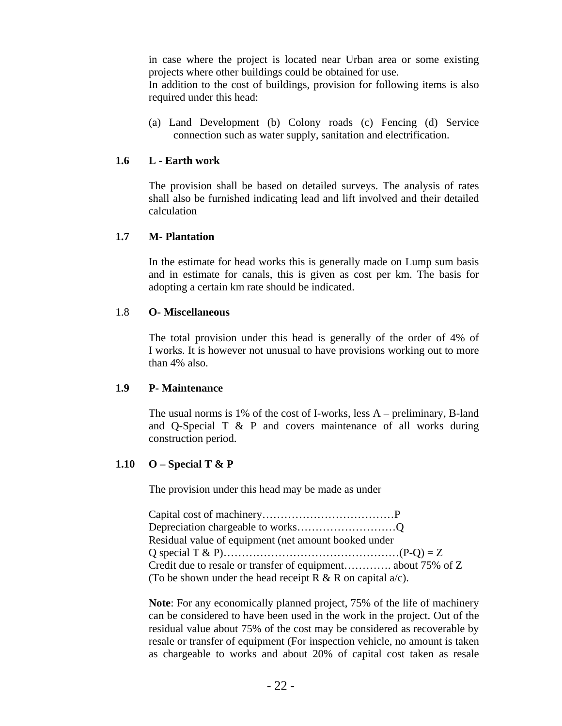in case where the project is located near Urban area or some existing projects where other buildings could be obtained for use. In addition to the cost of buildings, provision for following items is also required under this head:

(a) Land Development (b) Colony roads (c) Fencing (d) Service connection such as water supply, sanitation and electrification.

## **1.6 L - Earth work**

The provision shall be based on detailed surveys. The analysis of rates shall also be furnished indicating lead and lift involved and their detailed calculation

## **1.7 M- Plantation**

In the estimate for head works this is generally made on Lump sum basis and in estimate for canals, this is given as cost per km. The basis for adopting a certain km rate should be indicated.

#### 1.8 **O- Miscellaneous**

The total provision under this head is generally of the order of 4% of I works. It is however not unusual to have provisions working out to more than 4% also.

#### **1.9 P- Maintenance**

The usual norms is 1% of the cost of I-works, less A – preliminary, B-land and Q-Special T & P and covers maintenance of all works during construction period.

## **1.10 O – Special T & P**

The provision under this head may be made as under

Capital cost of machinery………………………………P Depreciation chargeable to works………………………Q Residual value of equipment (net amount booked under Q special T & P)…………………………………………(P-Q) = Z Credit due to resale or transfer of equipment…………. about 75% of Z (To be shown under the head receipt R  $\&$  R on capital  $a/c$ ).

**Note**: For any economically planned project, 75% of the life of machinery can be considered to have been used in the work in the project. Out of the residual value about 75% of the cost may be considered as recoverable by resale or transfer of equipment (For inspection vehicle, no amount is taken as chargeable to works and about 20% of capital cost taken as resale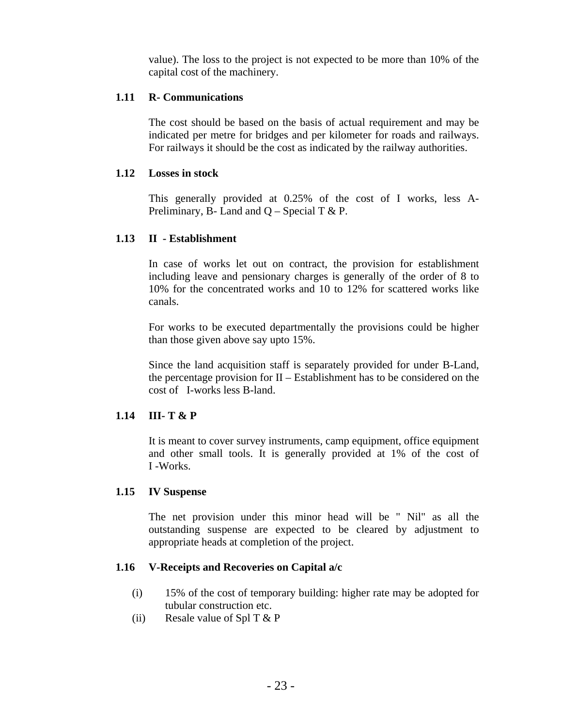value). The loss to the project is not expected to be more than 10% of the capital cost of the machinery.

## **1.11 R- Communications**

The cost should be based on the basis of actual requirement and may be indicated per metre for bridges and per kilometer for roads and railways. For railways it should be the cost as indicated by the railway authorities.

## **1.12 Losses in stock**

This generally provided at 0.25% of the cost of I works, less A-Preliminary, B- Land and  $Q$  – Special T & P.

## **1.13 II - Establishment**

In case of works let out on contract, the provision for establishment including leave and pensionary charges is generally of the order of 8 to 10% for the concentrated works and 10 to 12% for scattered works like canals.

For works to be executed departmentally the provisions could be higher than those given above say upto 15%.

Since the land acquisition staff is separately provided for under B-Land, the percentage provision for II – Establishment has to be considered on the cost of I-works less B-land.

## **1.14 III- T & P**

It is meant to cover survey instruments, camp equipment, office equipment and other small tools. It is generally provided at 1% of the cost of I -Works.

## **1.15 IV Suspense**

The net provision under this minor head will be " Nil" as all the outstanding suspense are expected to be cleared by adjustment to appropriate heads at completion of the project.

## **1.16 V-Receipts and Recoveries on Capital a/c**

- (i) 15% of the cost of temporary building: higher rate may be adopted for tubular construction etc.
- (ii) Resale value of Spl T  $&$  P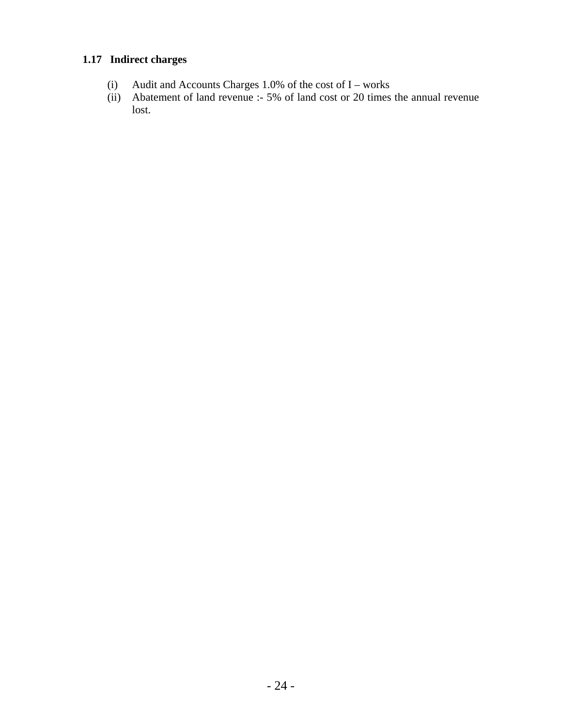## **1.17 Indirect charges**

- (i) Audit and Accounts Charges 1.0% of the cost of  $I$  works
- (ii) Abatement of land revenue :- 5% of land cost or 20 times the annual revenue lost.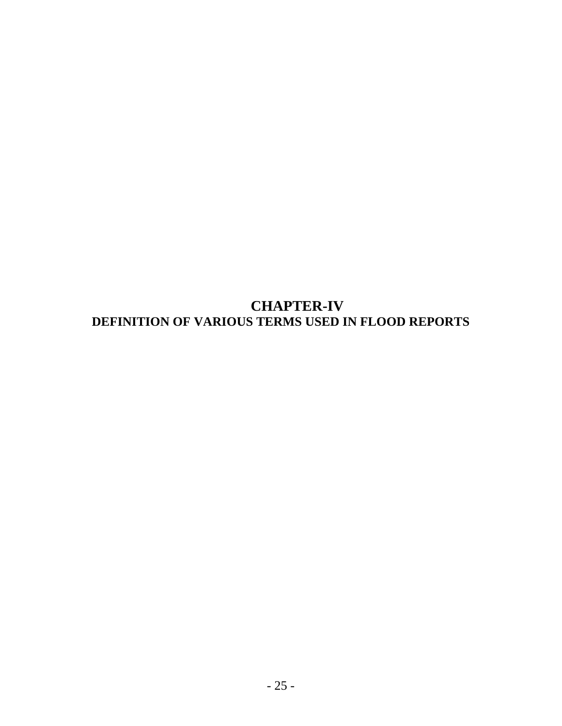**CHAPTER-IV DEFINITION OF VARIOUS TERMS USED IN FLOOD REPORTS**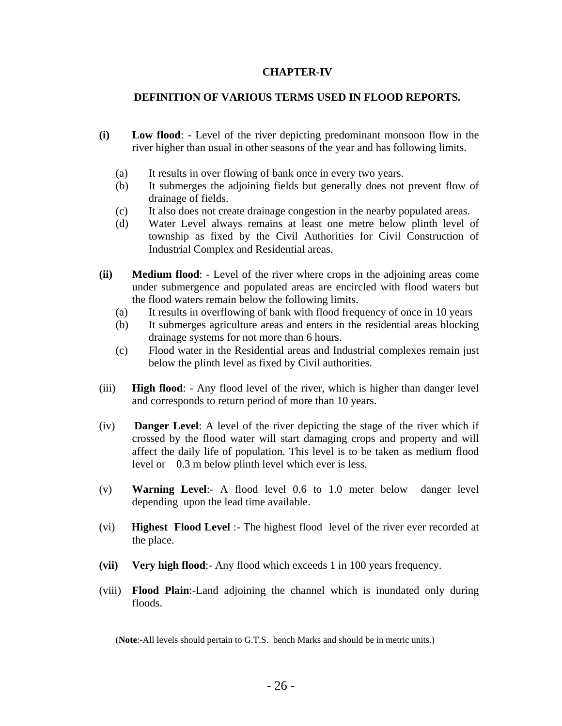### **CHAPTER-IV**

## **DEFINITION OF VARIOUS TERMS USED IN FLOOD REPORTS.**

- **(i) Low flood**: Level of the river depicting predominant monsoon flow in the river higher than usual in other seasons of the year and has following limits.
	- (a) It results in over flowing of bank once in every two years.
	- (b) It submerges the adjoining fields but generally does not prevent flow of drainage of fields.
	- (c) It also does not create drainage congestion in the nearby populated areas.
	- (d) Water Level always remains at least one metre below plinth level of township as fixed by the Civil Authorities for Civil Construction of Industrial Complex and Residential areas.
- **(ii) Medium flood**: Level of the river where crops in the adjoining areas come under submergence and populated areas are encircled with flood waters but the flood waters remain below the following limits.
	- (a) It results in overflowing of bank with flood frequency of once in 10 years
	- (b) It submerges agriculture areas and enters in the residential areas blocking drainage systems for not more than 6 hours.
	- (c) Flood water in the Residential areas and Industrial complexes remain just below the plinth level as fixed by Civil authorities.
- (iii) **High flood**: Any flood level of the river, which is higher than danger level and corresponds to return period of more than 10 years.
- (iv) **Danger Level**: A level of the river depicting the stage of the river which if crossed by the flood water will start damaging crops and property and will affect the daily life of population. This level is to be taken as medium flood level or 0.3 m below plinth level which ever is less.
- (v) **Warning Level**:- A flood level 0.6 to 1.0 meter below danger level depending upon the lead time available.
- (vi) **Highest Flood Level** :- The highest flood level of the river ever recorded at the place.
- **(vii) Very high flood**:- Any flood which exceeds 1 in 100 years frequency.
- (viii) **Flood Plain**:-Land adjoining the channel which is inundated only during floods.

(**Note**:-All levels should pertain to G.T.S. bench Marks and should be in metric units.)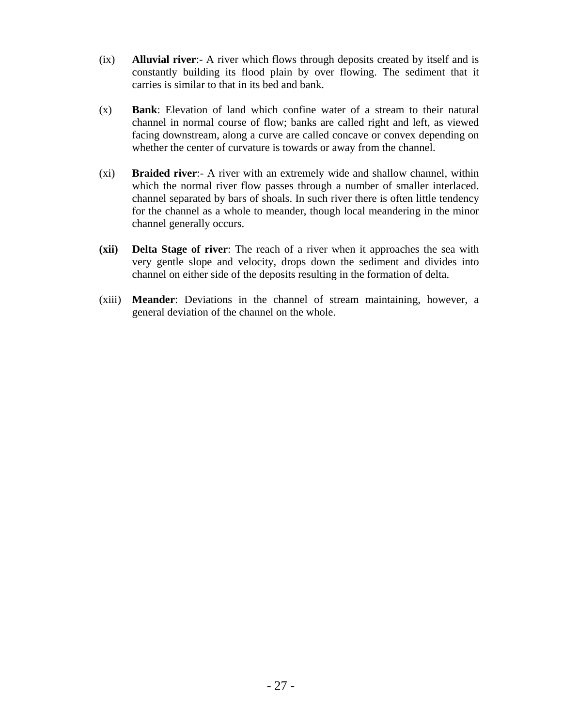- (ix) **Alluvial river**:- A river which flows through deposits created by itself and is constantly building its flood plain by over flowing. The sediment that it carries is similar to that in its bed and bank.
- (x) **Bank**: Elevation of land which confine water of a stream to their natural channel in normal course of flow; banks are called right and left, as viewed facing downstream, along a curve are called concave or convex depending on whether the center of curvature is towards or away from the channel.
- (xi) **Braided river**:- A river with an extremely wide and shallow channel, within which the normal river flow passes through a number of smaller interlaced. channel separated by bars of shoals. In such river there is often little tendency for the channel as a whole to meander, though local meandering in the minor channel generally occurs.
- **(xii) Delta Stage of river**: The reach of a river when it approaches the sea with very gentle slope and velocity, drops down the sediment and divides into channel on either side of the deposits resulting in the formation of delta.
- (xiii) **Meander**: Deviations in the channel of stream maintaining, however, a general deviation of the channel on the whole.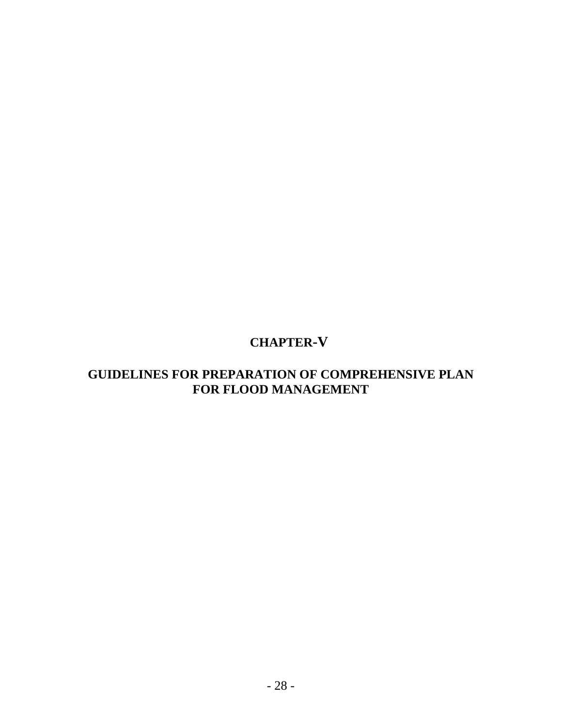# **CHAPTER-V**

## **GUIDELINES FOR PREPARATION OF COMPREHENSIVE PLAN FOR FLOOD MANAGEMENT**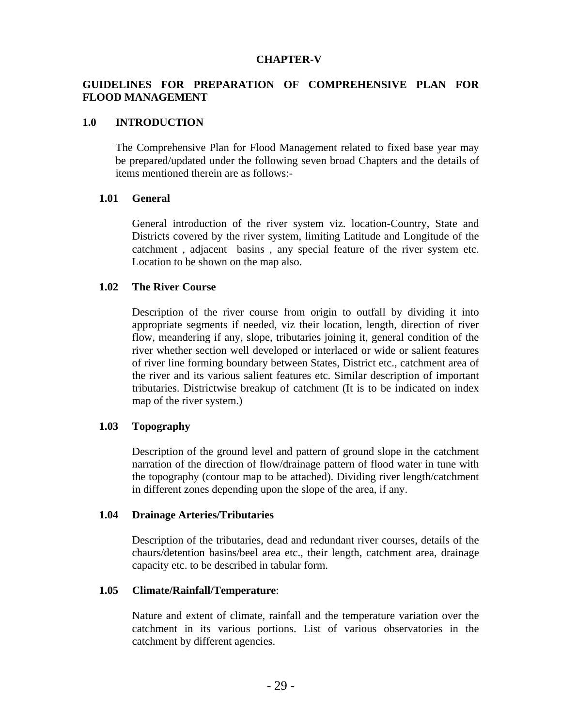#### **CHAPTER-V**

## **GUIDELINES FOR PREPARATION OF COMPREHENSIVE PLAN FOR FLOOD MANAGEMENT**

## **1.0 INTRODUCTION**

The Comprehensive Plan for Flood Management related to fixed base year may be prepared/updated under the following seven broad Chapters and the details of items mentioned therein are as follows:-

#### **1.01 General**

General introduction of the river system viz. location-Country, State and Districts covered by the river system, limiting Latitude and Longitude of the catchment , adjacent basins , any special feature of the river system etc. Location to be shown on the map also.

### **1.02 The River Course**

Description of the river course from origin to outfall by dividing it into appropriate segments if needed, viz their location, length, direction of river flow, meandering if any, slope, tributaries joining it, general condition of the river whether section well developed or interlaced or wide or salient features of river line forming boundary between States, District etc., catchment area of the river and its various salient features etc. Similar description of important tributaries. Districtwise breakup of catchment (It is to be indicated on index map of the river system.)

#### **1.03 Topography**

Description of the ground level and pattern of ground slope in the catchment narration of the direction of flow/drainage pattern of flood water in tune with the topography (contour map to be attached). Dividing river length/catchment in different zones depending upon the slope of the area, if any.

#### **1.04 Drainage Arteries/Tributaries**

Description of the tributaries, dead and redundant river courses, details of the chaurs/detention basins/beel area etc., their length, catchment area, drainage capacity etc. to be described in tabular form.

#### **1.05 Climate/Rainfall/Temperature**:

Nature and extent of climate, rainfall and the temperature variation over the catchment in its various portions. List of various observatories in the catchment by different agencies.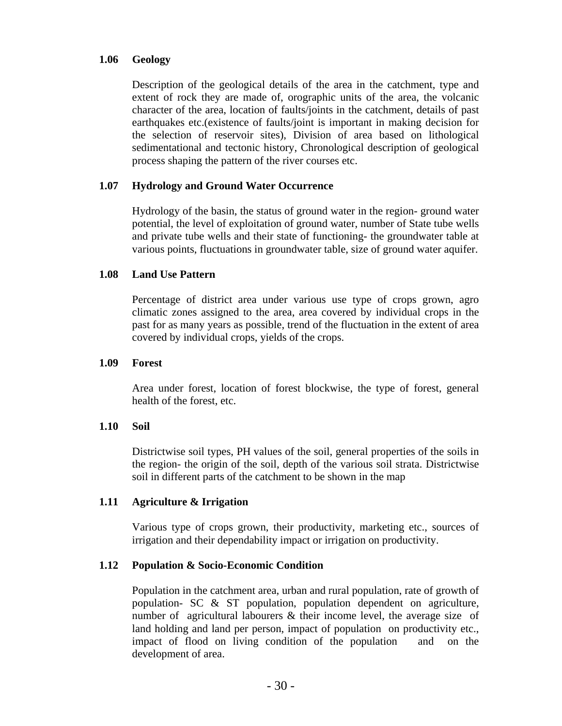## **1.06 Geology**

Description of the geological details of the area in the catchment, type and extent of rock they are made of, orographic units of the area, the volcanic character of the area, location of faults/joints in the catchment, details of past earthquakes etc.(existence of faults/joint is important in making decision for the selection of reservoir sites), Division of area based on lithological sedimentational and tectonic history, Chronological description of geological process shaping the pattern of the river courses etc.

## **1.07 Hydrology and Ground Water Occurrence**

Hydrology of the basin, the status of ground water in the region- ground water potential, the level of exploitation of ground water, number of State tube wells and private tube wells and their state of functioning- the groundwater table at various points, fluctuations in groundwater table, size of ground water aquifer.

## **1.08 Land Use Pattern**

Percentage of district area under various use type of crops grown, agro climatic zones assigned to the area, area covered by individual crops in the past for as many years as possible, trend of the fluctuation in the extent of area covered by individual crops, yields of the crops.

#### **1.09 Forest**

Area under forest, location of forest blockwise, the type of forest, general health of the forest, etc.

## **1.10 Soil**

Districtwise soil types, PH values of the soil, general properties of the soils in the region- the origin of the soil, depth of the various soil strata. Districtwise soil in different parts of the catchment to be shown in the map

## **1.11 Agriculture & Irrigation**

Various type of crops grown, their productivity, marketing etc., sources of irrigation and their dependability impact or irrigation on productivity.

## **1.12 Population & Socio-Economic Condition**

Population in the catchment area, urban and rural population, rate of growth of population- SC & ST population, population dependent on agriculture, number of agricultural labourers & their income level, the average size of land holding and land per person, impact of population on productivity etc., impact of flood on living condition of the population and on the development of area.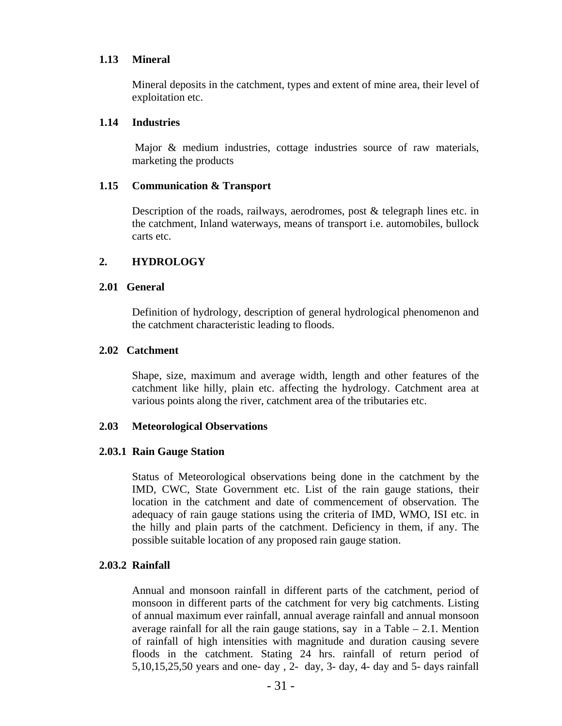## **1.13 Mineral**

Mineral deposits in the catchment, types and extent of mine area, their level of exploitation etc.

## **1.14 Industries**

 Major & medium industries, cottage industries source of raw materials, marketing the products

## **1.15 Communication & Transport**

Description of the roads, railways, aerodromes, post & telegraph lines etc. in the catchment, Inland waterways, means of transport i.e. automobiles, bullock carts etc.

## **2. HYDROLOGY**

## **2.01 General**

Definition of hydrology, description of general hydrological phenomenon and the catchment characteristic leading to floods.

#### **2.02 Catchment**

Shape, size, maximum and average width, length and other features of the catchment like hilly, plain etc. affecting the hydrology. Catchment area at various points along the river, catchment area of the tributaries etc.

## **2.03 Meteorological Observations**

## **2.03.1 Rain Gauge Station**

Status of Meteorological observations being done in the catchment by the IMD, CWC, State Government etc. List of the rain gauge stations, their location in the catchment and date of commencement of observation. The adequacy of rain gauge stations using the criteria of IMD, WMO, ISI etc. in the hilly and plain parts of the catchment. Deficiency in them, if any. The possible suitable location of any proposed rain gauge station.

## **2.03.2 Rainfall**

Annual and monsoon rainfall in different parts of the catchment, period of monsoon in different parts of the catchment for very big catchments. Listing of annual maximum ever rainfall, annual average rainfall and annual monsoon average rainfall for all the rain gauge stations, say in a Table  $-2.1$ . Mention of rainfall of high intensities with magnitude and duration causing severe floods in the catchment. Stating 24 hrs. rainfall of return period of 5,10,15,25,50 years and one- day , 2- day, 3- day, 4- day and 5- days rainfall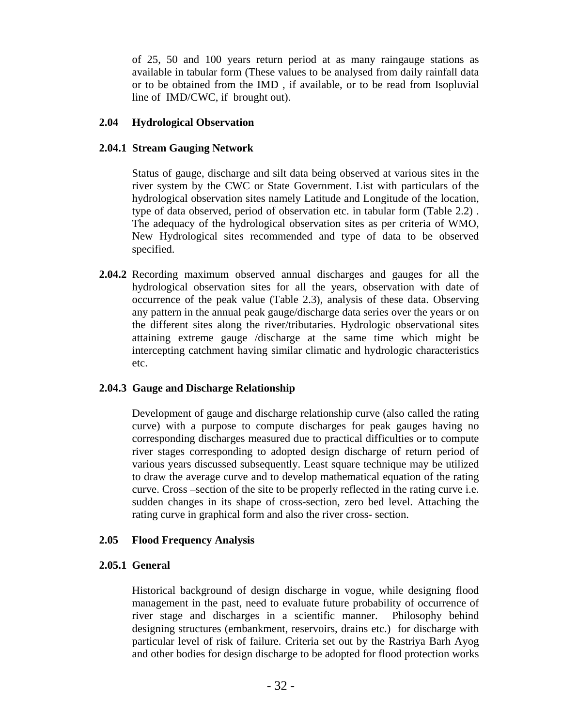of 25, 50 and 100 years return period at as many raingauge stations as available in tabular form (These values to be analysed from daily rainfall data or to be obtained from the IMD , if available, or to be read from Isopluvial line of IMD/CWC, if brought out).

## **2.04 Hydrological Observation**

## **2.04.1 Stream Gauging Network**

Status of gauge, discharge and silt data being observed at various sites in the river system by the CWC or State Government. List with particulars of the hydrological observation sites namely Latitude and Longitude of the location, type of data observed, period of observation etc. in tabular form (Table 2.2) . The adequacy of the hydrological observation sites as per criteria of WMO, New Hydrological sites recommended and type of data to be observed specified.

**2.04.2** Recording maximum observed annual discharges and gauges for all the hydrological observation sites for all the years, observation with date of occurrence of the peak value (Table 2.3), analysis of these data. Observing any pattern in the annual peak gauge/discharge data series over the years or on the different sites along the river/tributaries. Hydrologic observational sites attaining extreme gauge /discharge at the same time which might be intercepting catchment having similar climatic and hydrologic characteristics etc.

## **2.04.3 Gauge and Discharge Relationship**

Development of gauge and discharge relationship curve (also called the rating curve) with a purpose to compute discharges for peak gauges having no corresponding discharges measured due to practical difficulties or to compute river stages corresponding to adopted design discharge of return period of various years discussed subsequently. Least square technique may be utilized to draw the average curve and to develop mathematical equation of the rating curve. Cross –section of the site to be properly reflected in the rating curve i.e. sudden changes in its shape of cross-section, zero bed level. Attaching the rating curve in graphical form and also the river cross- section.

## **2.05 Flood Frequency Analysis**

## **2.05.1 General**

Historical background of design discharge in vogue, while designing flood management in the past, need to evaluate future probability of occurrence of river stage and discharges in a scientific manner. Philosophy behind designing structures (embankment, reservoirs, drains etc.) for discharge with particular level of risk of failure. Criteria set out by the Rastriya Barh Ayog and other bodies for design discharge to be adopted for flood protection works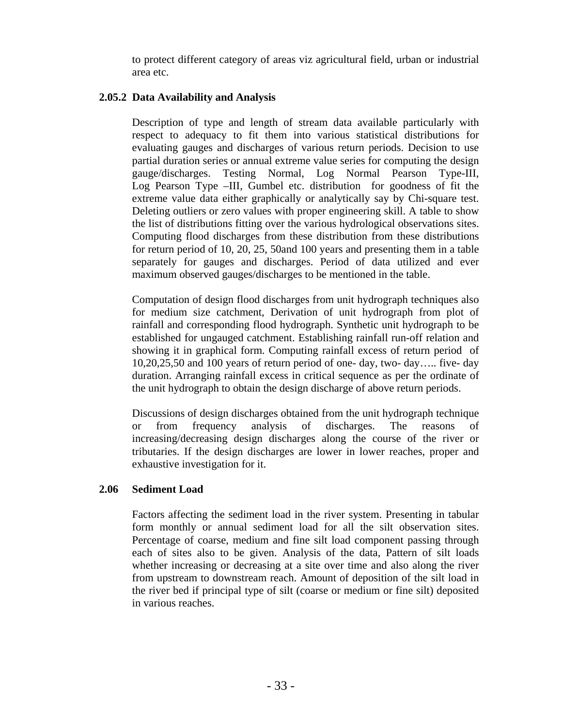to protect different category of areas viz agricultural field, urban or industrial area etc.

## **2.05.2 Data Availability and Analysis**

Description of type and length of stream data available particularly with respect to adequacy to fit them into various statistical distributions for evaluating gauges and discharges of various return periods. Decision to use partial duration series or annual extreme value series for computing the design gauge/discharges. Testing Normal, Log Normal Pearson Type-III, Log Pearson Type –III, Gumbel etc. distribution for goodness of fit the extreme value data either graphically or analytically say by Chi-square test. Deleting outliers or zero values with proper engineering skill. A table to show the list of distributions fitting over the various hydrological observations sites. Computing flood discharges from these distribution from these distributions for return period of 10, 20, 25, 50and 100 years and presenting them in a table separately for gauges and discharges. Period of data utilized and ever maximum observed gauges/discharges to be mentioned in the table.

Computation of design flood discharges from unit hydrograph techniques also for medium size catchment, Derivation of unit hydrograph from plot of rainfall and corresponding flood hydrograph. Synthetic unit hydrograph to be established for ungauged catchment. Establishing rainfall run-off relation and showing it in graphical form. Computing rainfall excess of return period of 10,20,25,50 and 100 years of return period of one- day, two- day….. five- day duration. Arranging rainfall excess in critical sequence as per the ordinate of the unit hydrograph to obtain the design discharge of above return periods.

Discussions of design discharges obtained from the unit hydrograph technique or from frequency analysis of discharges. The reasons of increasing/decreasing design discharges along the course of the river or tributaries. If the design discharges are lower in lower reaches, proper and exhaustive investigation for it.

## **2.06 Sediment Load**

Factors affecting the sediment load in the river system. Presenting in tabular form monthly or annual sediment load for all the silt observation sites. Percentage of coarse, medium and fine silt load component passing through each of sites also to be given. Analysis of the data, Pattern of silt loads whether increasing or decreasing at a site over time and also along the river from upstream to downstream reach. Amount of deposition of the silt load in the river bed if principal type of silt (coarse or medium or fine silt) deposited in various reaches.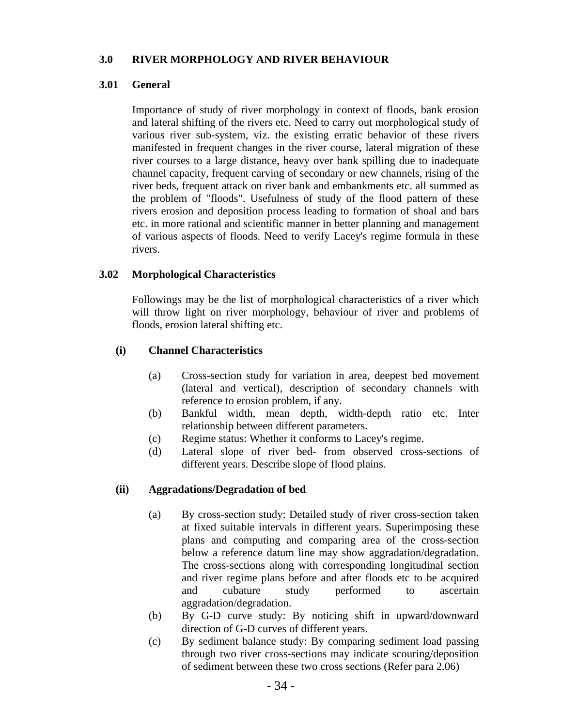## **3.0 RIVER MORPHOLOGY AND RIVER BEHAVIOUR**

## **3.01 General**

Importance of study of river morphology in context of floods, bank erosion and lateral shifting of the rivers etc. Need to carry out morphological study of various river sub-system, viz. the existing erratic behavior of these rivers manifested in frequent changes in the river course, lateral migration of these river courses to a large distance, heavy over bank spilling due to inadequate channel capacity, frequent carving of secondary or new channels, rising of the river beds, frequent attack on river bank and embankments etc. all summed as the problem of "floods". Usefulness of study of the flood pattern of these rivers erosion and deposition process leading to formation of shoal and bars etc. in more rational and scientific manner in better planning and management of various aspects of floods. Need to verify Lacey's regime formula in these rivers.

## **3.02 Morphological Characteristics**

Followings may be the list of morphological characteristics of a river which will throw light on river morphology, behaviour of river and problems of floods, erosion lateral shifting etc.

## **(i) Channel Characteristics**

- (a) Cross-section study for variation in area, deepest bed movement (lateral and vertical), description of secondary channels with reference to erosion problem, if any.
- (b) Bankful width, mean depth, width-depth ratio etc. Inter relationship between different parameters.
- (c) Regime status: Whether it conforms to Lacey's regime.
- (d) Lateral slope of river bed- from observed cross-sections of different years. Describe slope of flood plains.

## **(ii) Aggradations/Degradation of bed**

- (a) By cross-section study: Detailed study of river cross-section taken at fixed suitable intervals in different years. Superimposing these plans and computing and comparing area of the cross-section below a reference datum line may show aggradation/degradation. The cross-sections along with corresponding longitudinal section and river regime plans before and after floods etc to be acquired and cubature study performed to ascertain aggradation/degradation.
- (b) By G-D curve study: By noticing shift in upward/downward direction of G-D curves of different years.
- (c) By sediment balance study: By comparing sediment load passing through two river cross-sections may indicate scouring/deposition of sediment between these two cross sections (Refer para 2.06)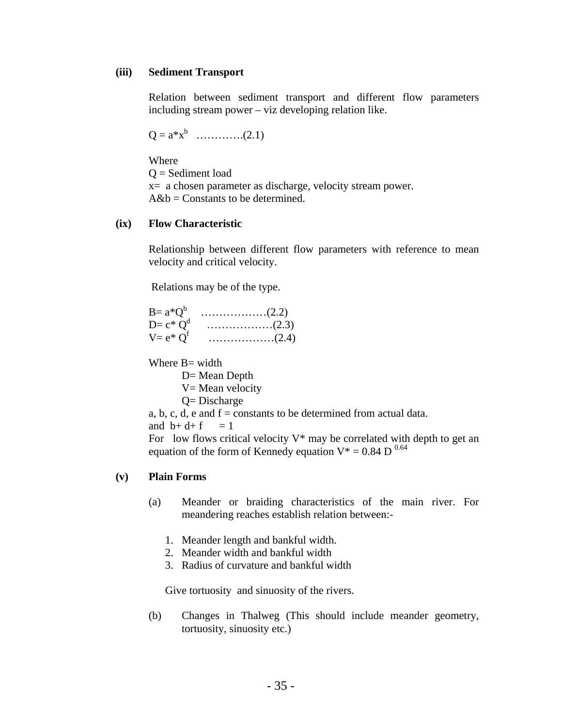#### **(iii) Sediment Transport**

Relation between sediment transport and different flow parameters including stream power – viz developing relation like.

 $Q = a^*x^b$  …………..(2.1)

Where

 $Q =$  Sediment load

x= a chosen parameter as discharge, velocity stream power.  $A&b =$ Constants to be determined.

#### **(ix) Flow Characteristic**

Relationship between different flow parameters with reference to mean velocity and critical velocity.

Relations may be of the type.

| $B = a^*O^b$  |                                                          |
|---------------|----------------------------------------------------------|
| $D=c*O^d$     | $\ldots \ldots \ldots \ldots \ldots \ldots \ldots (2.3)$ |
| $V = e^* O^f$ | $\ldots \ldots \ldots \ldots \ldots \ldots \ldots (2.4)$ |

Where B= width

D= Mean Depth V = Mean velocity

Q= Discharge

a, b, c, d, e and  $f =$ constants to be determined from actual data. and  $b+d+f = 1$ 

For low flows critical velocity  $V^*$  may be correlated with depth to get an equation of the form of Kennedy equation  $V^* = 0.84$  D<sup>0.64</sup>

## **(v) Plain Forms**

- (a) Meander or braiding characteristics of the main river. For meandering reaches establish relation between:-
	- 1. Meander length and bankful width.
	- 2. Meander width and bankful width
	- 3. Radius of curvature and bankful width

Give tortuosity and sinuosity of the rivers.

(b) Changes in Thalweg (This should include meander geometry, tortuosity, sinuosity etc.)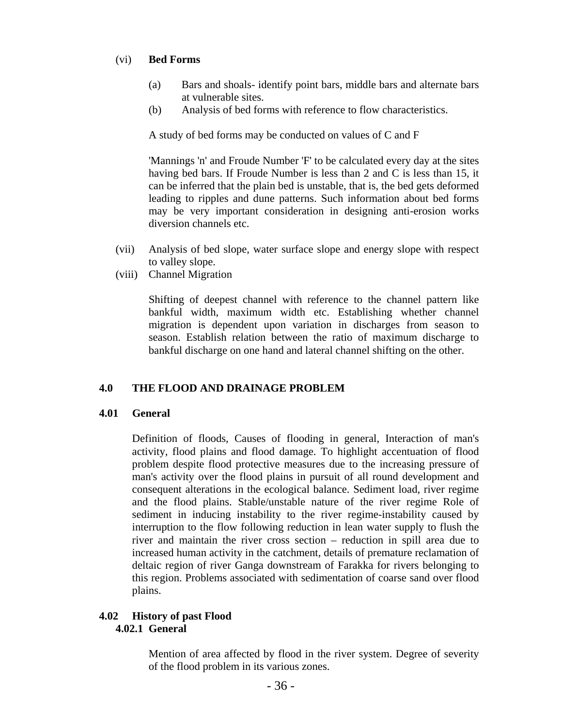## (vi) **Bed Forms**

- (a) Bars and shoals- identify point bars, middle bars and alternate bars at vulnerable sites.
- (b) Analysis of bed forms with reference to flow characteristics.

A study of bed forms may be conducted on values of C and F

'Mannings 'n' and Froude Number 'F' to be calculated every day at the sites having bed bars. If Froude Number is less than 2 and C is less than 15, it can be inferred that the plain bed is unstable, that is, the bed gets deformed leading to ripples and dune patterns. Such information about bed forms may be very important consideration in designing anti-erosion works diversion channels etc.

- (vii) Analysis of bed slope, water surface slope and energy slope with respect to valley slope.
- (viii) Channel Migration

Shifting of deepest channel with reference to the channel pattern like bankful width, maximum width etc. Establishing whether channel migration is dependent upon variation in discharges from season to season. Establish relation between the ratio of maximum discharge to bankful discharge on one hand and lateral channel shifting on the other.

## **4.0 THE FLOOD AND DRAINAGE PROBLEM**

## **4.01 General**

Definition of floods, Causes of flooding in general, Interaction of man's activity, flood plains and flood damage. To highlight accentuation of flood problem despite flood protective measures due to the increasing pressure of man's activity over the flood plains in pursuit of all round development and consequent alterations in the ecological balance. Sediment load, river regime and the flood plains. Stable/unstable nature of the river regime Role of sediment in inducing instability to the river regime-instability caused by interruption to the flow following reduction in lean water supply to flush the river and maintain the river cross section – reduction in spill area due to increased human activity in the catchment, details of premature reclamation of deltaic region of river Ganga downstream of Farakka for rivers belonging to this region. Problems associated with sedimentation of coarse sand over flood plains.

## **4.02 History of past Flood 4.02.1 General**

Mention of area affected by flood in the river system. Degree of severity of the flood problem in its various zones.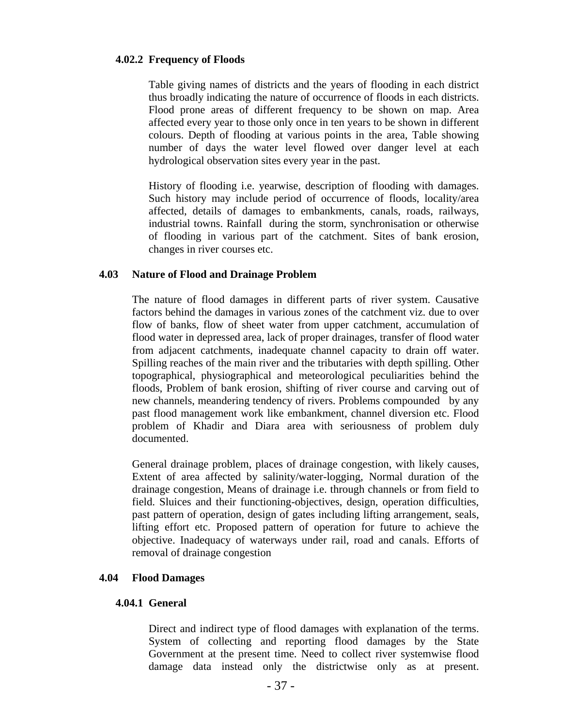#### **4.02.2 Frequency of Floods**

Table giving names of districts and the years of flooding in each district thus broadly indicating the nature of occurrence of floods in each districts. Flood prone areas of different frequency to be shown on map. Area affected every year to those only once in ten years to be shown in different colours. Depth of flooding at various points in the area, Table showing number of days the water level flowed over danger level at each hydrological observation sites every year in the past.

History of flooding i.e. yearwise, description of flooding with damages. Such history may include period of occurrence of floods, locality/area affected, details of damages to embankments, canals, roads, railways, industrial towns. Rainfall during the storm, synchronisation or otherwise of flooding in various part of the catchment. Sites of bank erosion, changes in river courses etc.

### **4.03 Nature of Flood and Drainage Problem**

The nature of flood damages in different parts of river system. Causative factors behind the damages in various zones of the catchment viz. due to over flow of banks, flow of sheet water from upper catchment, accumulation of flood water in depressed area, lack of proper drainages, transfer of flood water from adjacent catchments, inadequate channel capacity to drain off water. Spilling reaches of the main river and the tributaries with depth spilling. Other topographical, physiographical and meteorological peculiarities behind the floods, Problem of bank erosion, shifting of river course and carving out of new channels, meandering tendency of rivers. Problems compounded by any past flood management work like embankment, channel diversion etc. Flood problem of Khadir and Diara area with seriousness of problem duly documented.

General drainage problem, places of drainage congestion, with likely causes, Extent of area affected by salinity/water-logging, Normal duration of the drainage congestion, Means of drainage i.e. through channels or from field to field. Sluices and their functioning-objectives, design, operation difficulties, past pattern of operation, design of gates including lifting arrangement, seals, lifting effort etc. Proposed pattern of operation for future to achieve the objective. Inadequacy of waterways under rail, road and canals. Efforts of removal of drainage congestion

#### **4.04 Flood Damages**

#### **4.04.1 General**

Direct and indirect type of flood damages with explanation of the terms. System of collecting and reporting flood damages by the State Government at the present time. Need to collect river systemwise flood damage data instead only the districtwise only as at present.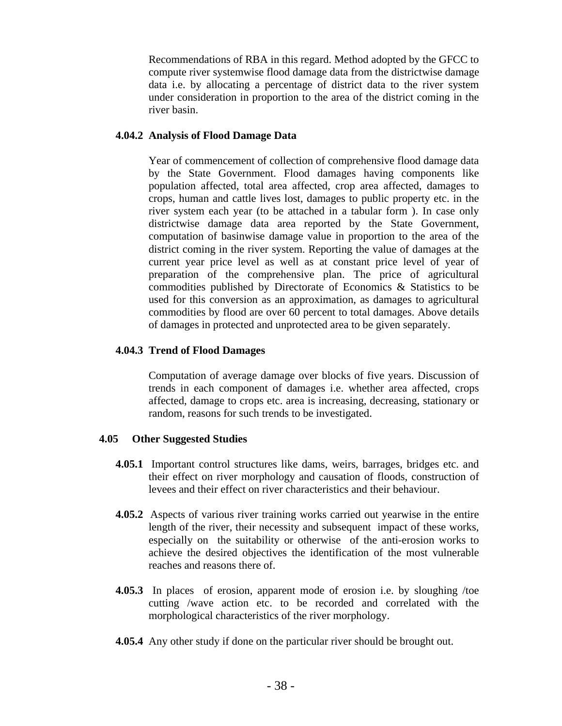Recommendations of RBA in this regard. Method adopted by the GFCC to compute river systemwise flood damage data from the districtwise damage data i.e. by allocating a percentage of district data to the river system under consideration in proportion to the area of the district coming in the river basin.

# **4.04.2 Analysis of Flood Damage Data**

Year of commencement of collection of comprehensive flood damage data by the State Government. Flood damages having components like population affected, total area affected, crop area affected, damages to crops, human and cattle lives lost, damages to public property etc. in the river system each year (to be attached in a tabular form ). In case only districtwise damage data area reported by the State Government, computation of basinwise damage value in proportion to the area of the district coming in the river system. Reporting the value of damages at the current year price level as well as at constant price level of year of preparation of the comprehensive plan. The price of agricultural commodities published by Directorate of Economics & Statistics to be used for this conversion as an approximation, as damages to agricultural commodities by flood are over 60 percent to total damages. Above details of damages in protected and unprotected area to be given separately.

# **4.04.3 Trend of Flood Damages**

Computation of average damage over blocks of five years. Discussion of trends in each component of damages i.e. whether area affected, crops affected, damage to crops etc. area is increasing, decreasing, stationary or random, reasons for such trends to be investigated.

# **4.05 Other Suggested Studies**

- **4.05.1** Important control structures like dams, weirs, barrages, bridges etc. and their effect on river morphology and causation of floods, construction of levees and their effect on river characteristics and their behaviour.
- **4.05.2** Aspects of various river training works carried out yearwise in the entire length of the river, their necessity and subsequent impact of these works, especially on the suitability or otherwise of the anti-erosion works to achieve the desired objectives the identification of the most vulnerable reaches and reasons there of.
- **4.05.3** In places of erosion, apparent mode of erosion i.e. by sloughing /toe cutting /wave action etc. to be recorded and correlated with the morphological characteristics of the river morphology.
- **4.05.4** Any other study if done on the particular river should be brought out.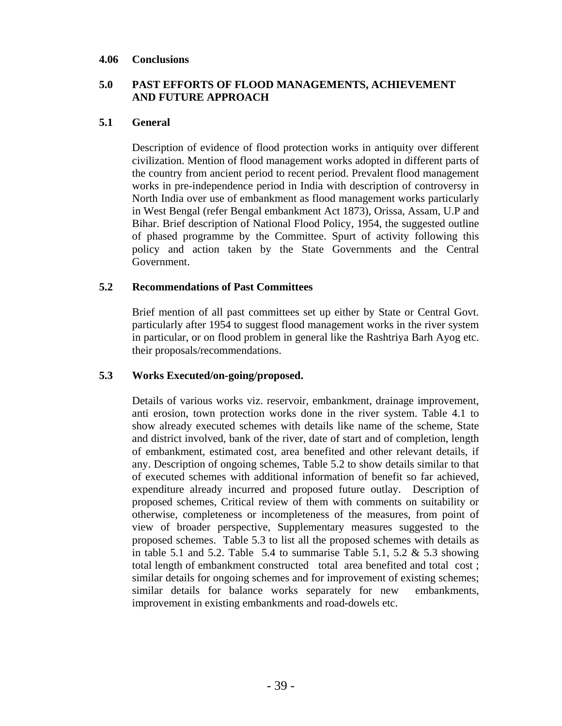#### **4.06 Conclusions**

# **5.0 PAST EFFORTS OF FLOOD MANAGEMENTS, ACHIEVEMENT AND FUTURE APPROACH**

#### **5.1 General**

Description of evidence of flood protection works in antiquity over different civilization. Mention of flood management works adopted in different parts of the country from ancient period to recent period. Prevalent flood management works in pre-independence period in India with description of controversy in North India over use of embankment as flood management works particularly in West Bengal (refer Bengal embankment Act 1873), Orissa, Assam, U.P and Bihar. Brief description of National Flood Policy, 1954, the suggested outline of phased programme by the Committee. Spurt of activity following this policy and action taken by the State Governments and the Central Government.

#### **5.2 Recommendations of Past Committees**

Brief mention of all past committees set up either by State or Central Govt. particularly after 1954 to suggest flood management works in the river system in particular, or on flood problem in general like the Rashtriya Barh Ayog etc. their proposals/recommendations.

#### **5.3 Works Executed/on-going/proposed.**

Details of various works viz. reservoir, embankment, drainage improvement, anti erosion, town protection works done in the river system. Table 4.1 to show already executed schemes with details like name of the scheme, State and district involved, bank of the river, date of start and of completion, length of embankment, estimated cost, area benefited and other relevant details, if any. Description of ongoing schemes, Table 5.2 to show details similar to that of executed schemes with additional information of benefit so far achieved, expenditure already incurred and proposed future outlay. Description of proposed schemes, Critical review of them with comments on suitability or otherwise, completeness or incompleteness of the measures, from point of view of broader perspective, Supplementary measures suggested to the proposed schemes. Table 5.3 to list all the proposed schemes with details as in table 5.1 and 5.2. Table 5.4 to summarise Table 5.1, 5.2  $\&$  5.3 showing total length of embankment constructed total area benefited and total cost ; similar details for ongoing schemes and for improvement of existing schemes; similar details for balance works separately for new embankments, improvement in existing embankments and road-dowels etc.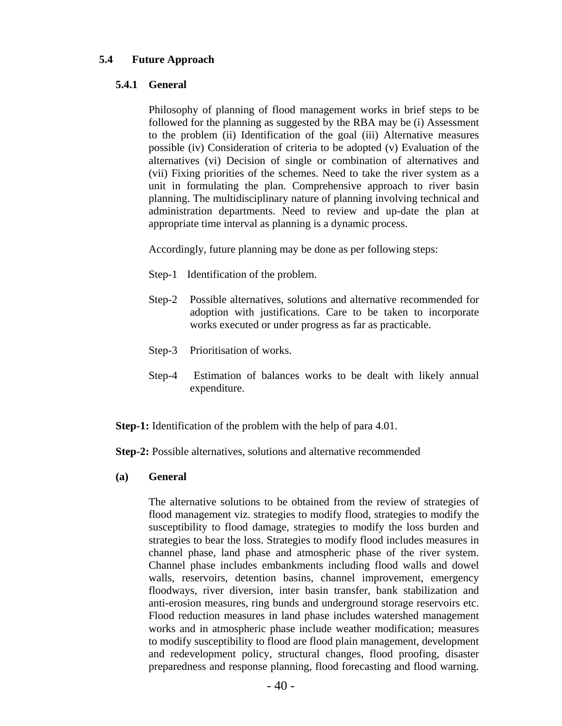## **5.4 Future Approach**

#### **5.4.1 General**

Philosophy of planning of flood management works in brief steps to be followed for the planning as suggested by the RBA may be (i) Assessment to the problem (ii) Identification of the goal (iii) Alternative measures possible (iv) Consideration of criteria to be adopted (v) Evaluation of the alternatives (vi) Decision of single or combination of alternatives and (vii) Fixing priorities of the schemes. Need to take the river system as a unit in formulating the plan. Comprehensive approach to river basin planning. The multidisciplinary nature of planning involving technical and administration departments. Need to review and up-date the plan at appropriate time interval as planning is a dynamic process.

Accordingly, future planning may be done as per following steps:

- Step-1 Identification of the problem.
- Step-2 Possible alternatives, solutions and alternative recommended for adoption with justifications. Care to be taken to incorporate works executed or under progress as far as practicable.
- Step-3 Prioritisation of works.
- Step-4 Estimation of balances works to be dealt with likely annual expenditure.

**Step-1:** Identification of the problem with the help of para 4.01.

**Step-2:** Possible alternatives, solutions and alternative recommended

#### **(a) General**

The alternative solutions to be obtained from the review of strategies of flood management viz. strategies to modify flood, strategies to modify the susceptibility to flood damage, strategies to modify the loss burden and strategies to bear the loss. Strategies to modify flood includes measures in channel phase, land phase and atmospheric phase of the river system. Channel phase includes embankments including flood walls and dowel walls, reservoirs, detention basins, channel improvement, emergency floodways, river diversion, inter basin transfer, bank stabilization and anti-erosion measures, ring bunds and underground storage reservoirs etc. Flood reduction measures in land phase includes watershed management works and in atmospheric phase include weather modification; measures to modify susceptibility to flood are flood plain management, development and redevelopment policy, structural changes, flood proofing, disaster preparedness and response planning, flood forecasting and flood warning.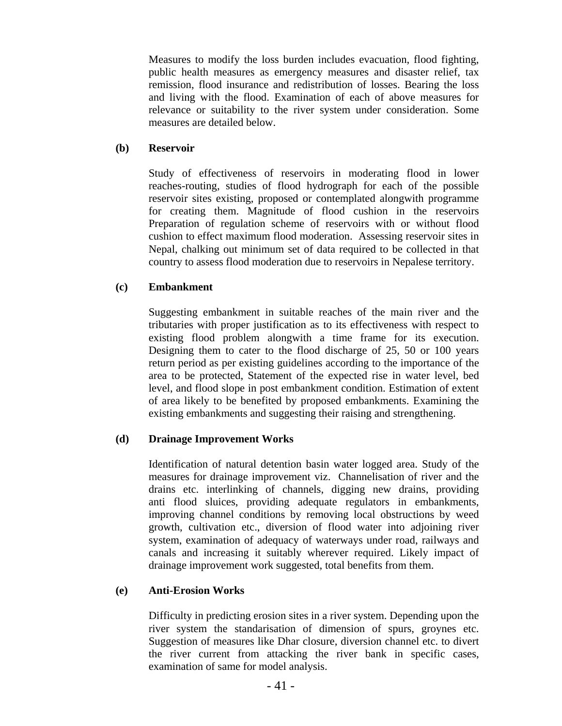Measures to modify the loss burden includes evacuation, flood fighting, public health measures as emergency measures and disaster relief, tax remission, flood insurance and redistribution of losses. Bearing the loss and living with the flood. Examination of each of above measures for relevance or suitability to the river system under consideration. Some measures are detailed below.

## **(b) Reservoir**

Study of effectiveness of reservoirs in moderating flood in lower reaches-routing, studies of flood hydrograph for each of the possible reservoir sites existing, proposed or contemplated alongwith programme for creating them. Magnitude of flood cushion in the reservoirs Preparation of regulation scheme of reservoirs with or without flood cushion to effect maximum flood moderation. Assessing reservoir sites in Nepal, chalking out minimum set of data required to be collected in that country to assess flood moderation due to reservoirs in Nepalese territory.

# **(c) Embankment**

Suggesting embankment in suitable reaches of the main river and the tributaries with proper justification as to its effectiveness with respect to existing flood problem alongwith a time frame for its execution. Designing them to cater to the flood discharge of 25, 50 or 100 years return period as per existing guidelines according to the importance of the area to be protected, Statement of the expected rise in water level, bed level, and flood slope in post embankment condition. Estimation of extent of area likely to be benefited by proposed embankments. Examining the existing embankments and suggesting their raising and strengthening.

# **(d) Drainage Improvement Works**

Identification of natural detention basin water logged area. Study of the measures for drainage improvement viz. Channelisation of river and the drains etc. interlinking of channels, digging new drains, providing anti flood sluices, providing adequate regulators in embankments, improving channel conditions by removing local obstructions by weed growth, cultivation etc., diversion of flood water into adjoining river system, examination of adequacy of waterways under road, railways and canals and increasing it suitably wherever required. Likely impact of drainage improvement work suggested, total benefits from them.

# **(e) Anti-Erosion Works**

Difficulty in predicting erosion sites in a river system. Depending upon the river system the standarisation of dimension of spurs, groynes etc. Suggestion of measures like Dhar closure, diversion channel etc. to divert the river current from attacking the river bank in specific cases, examination of same for model analysis.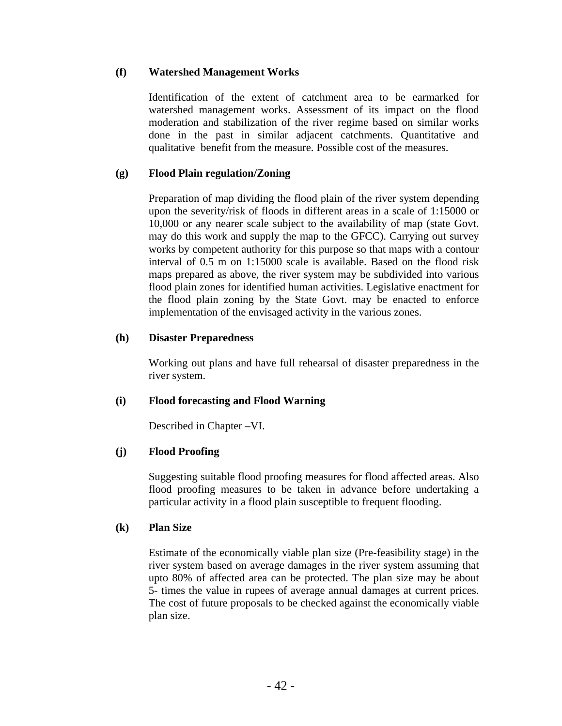# **(f) Watershed Management Works**

Identification of the extent of catchment area to be earmarked for watershed management works. Assessment of its impact on the flood moderation and stabilization of the river regime based on similar works done in the past in similar adjacent catchments. Quantitative and qualitative benefit from the measure. Possible cost of the measures.

# **(g) Flood Plain regulation/Zoning**

Preparation of map dividing the flood plain of the river system depending upon the severity/risk of floods in different areas in a scale of 1:15000 or 10,000 or any nearer scale subject to the availability of map (state Govt. may do this work and supply the map to the GFCC). Carrying out survey works by competent authority for this purpose so that maps with a contour interval of 0.5 m on 1:15000 scale is available. Based on the flood risk maps prepared as above, the river system may be subdivided into various flood plain zones for identified human activities. Legislative enactment for the flood plain zoning by the State Govt. may be enacted to enforce implementation of the envisaged activity in the various zones.

# **(h) Disaster Preparedness**

Working out plans and have full rehearsal of disaster preparedness in the river system.

# **(i) Flood forecasting and Flood Warning**

Described in Chapter –VI.

# **(j) Flood Proofing**

Suggesting suitable flood proofing measures for flood affected areas. Also flood proofing measures to be taken in advance before undertaking a particular activity in a flood plain susceptible to frequent flooding.

#### **(k) Plan Size**

Estimate of the economically viable plan size (Pre-feasibility stage) in the river system based on average damages in the river system assuming that upto 80% of affected area can be protected. The plan size may be about 5- times the value in rupees of average annual damages at current prices. The cost of future proposals to be checked against the economically viable plan size.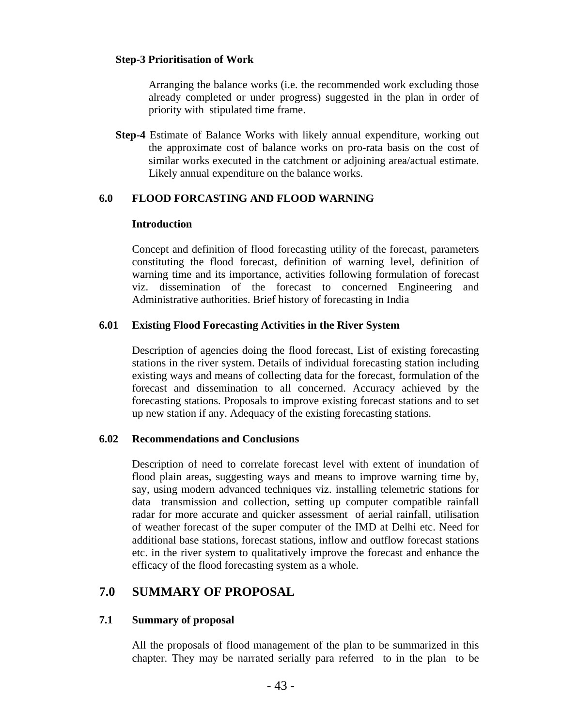#### **Step-3 Prioritisation of Work**

Arranging the balance works (i.e. the recommended work excluding those already completed or under progress) suggested in the plan in order of priority with stipulated time frame.

**Step-4** Estimate of Balance Works with likely annual expenditure, working out the approximate cost of balance works on pro-rata basis on the cost of similar works executed in the catchment or adjoining area/actual estimate. Likely annual expenditure on the balance works.

#### **6.0 FLOOD FORCASTING AND FLOOD WARNING**

#### **Introduction**

Concept and definition of flood forecasting utility of the forecast, parameters constituting the flood forecast, definition of warning level, definition of warning time and its importance, activities following formulation of forecast viz. dissemination of the forecast to concerned Engineering and Administrative authorities. Brief history of forecasting in India

#### **6.01 Existing Flood Forecasting Activities in the River System**

Description of agencies doing the flood forecast, List of existing forecasting stations in the river system. Details of individual forecasting station including existing ways and means of collecting data for the forecast, formulation of the forecast and dissemination to all concerned. Accuracy achieved by the forecasting stations. Proposals to improve existing forecast stations and to set up new station if any. Adequacy of the existing forecasting stations.

#### **6.02 Recommendations and Conclusions**

Description of need to correlate forecast level with extent of inundation of flood plain areas, suggesting ways and means to improve warning time by, say, using modern advanced techniques viz. installing telemetric stations for data transmission and collection, setting up computer compatible rainfall radar for more accurate and quicker assessment of aerial rainfall, utilisation of weather forecast of the super computer of the IMD at Delhi etc. Need for additional base stations, forecast stations, inflow and outflow forecast stations etc. in the river system to qualitatively improve the forecast and enhance the efficacy of the flood forecasting system as a whole.

# **7.0 SUMMARY OF PROPOSAL**

#### **7.1 Summary of proposal**

All the proposals of flood management of the plan to be summarized in this chapter. They may be narrated serially para referred to in the plan to be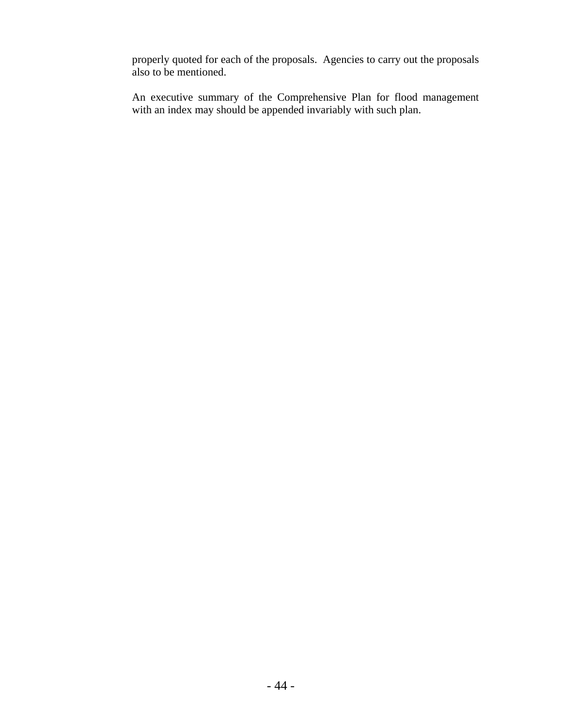properly quoted for each of the proposals. Agencies to carry out the proposals also to be mentioned.

An executive summary of the Comprehensive Plan for flood management with an index may should be appended invariably with such plan.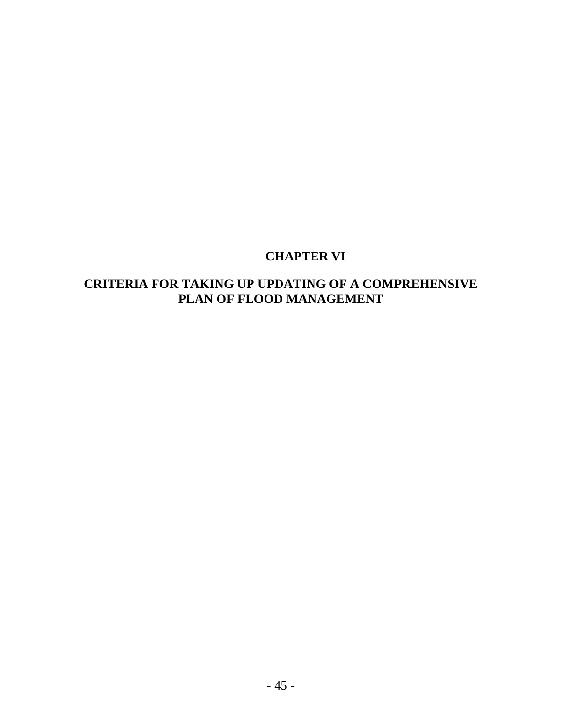# **CHAPTER VI**

# **CRITERIA FOR TAKING UP UPDATING OF A COMPREHENSIVE PLAN OF FLOOD MANAGEMENT**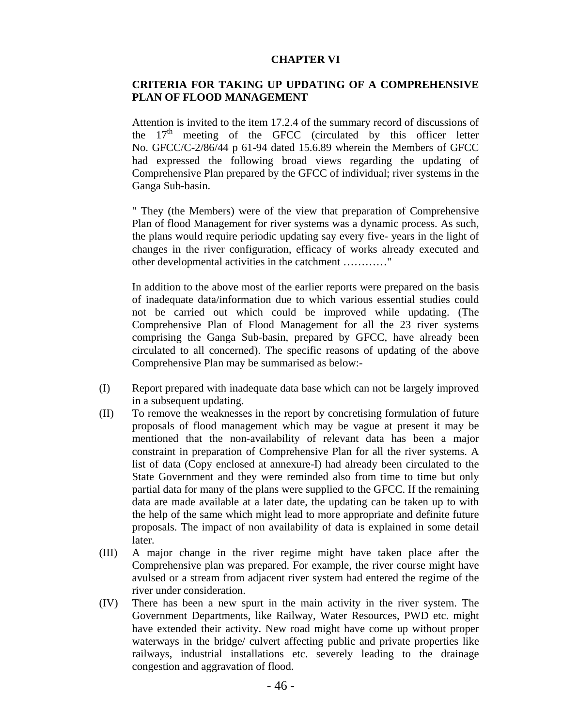#### **CHAPTER VI**

## **CRITERIA FOR TAKING UP UPDATING OF A COMPREHENSIVE PLAN OF FLOOD MANAGEMENT**

Attention is invited to the item 17.2.4 of the summary record of discussions of the  $17<sup>th</sup>$  meeting of the GFCC (circulated by this officer letter No. GFCC/C-2/86/44 p 61-94 dated 15.6.89 wherein the Members of GFCC had expressed the following broad views regarding the updating of Comprehensive Plan prepared by the GFCC of individual; river systems in the Ganga Sub-basin.

" They (the Members) were of the view that preparation of Comprehensive Plan of flood Management for river systems was a dynamic process. As such, the plans would require periodic updating say every five- years in the light of changes in the river configuration, efficacy of works already executed and other developmental activities in the catchment …………"

In addition to the above most of the earlier reports were prepared on the basis of inadequate data/information due to which various essential studies could not be carried out which could be improved while updating. (The Comprehensive Plan of Flood Management for all the 23 river systems comprising the Ganga Sub-basin, prepared by GFCC, have already been circulated to all concerned). The specific reasons of updating of the above Comprehensive Plan may be summarised as below:-

- (I) Report prepared with inadequate data base which can not be largely improved in a subsequent updating.
- (II) To remove the weaknesses in the report by concretising formulation of future proposals of flood management which may be vague at present it may be mentioned that the non-availability of relevant data has been a major constraint in preparation of Comprehensive Plan for all the river systems. A list of data (Copy enclosed at annexure-I) had already been circulated to the State Government and they were reminded also from time to time but only partial data for many of the plans were supplied to the GFCC. If the remaining data are made available at a later date, the updating can be taken up to with the help of the same which might lead to more appropriate and definite future proposals. The impact of non availability of data is explained in some detail later.
- (III) A major change in the river regime might have taken place after the Comprehensive plan was prepared. For example, the river course might have avulsed or a stream from adjacent river system had entered the regime of the river under consideration.
- (IV) There has been a new spurt in the main activity in the river system. The Government Departments, like Railway, Water Resources, PWD etc. might have extended their activity. New road might have come up without proper waterways in the bridge/ culvert affecting public and private properties like railways, industrial installations etc. severely leading to the drainage congestion and aggravation of flood.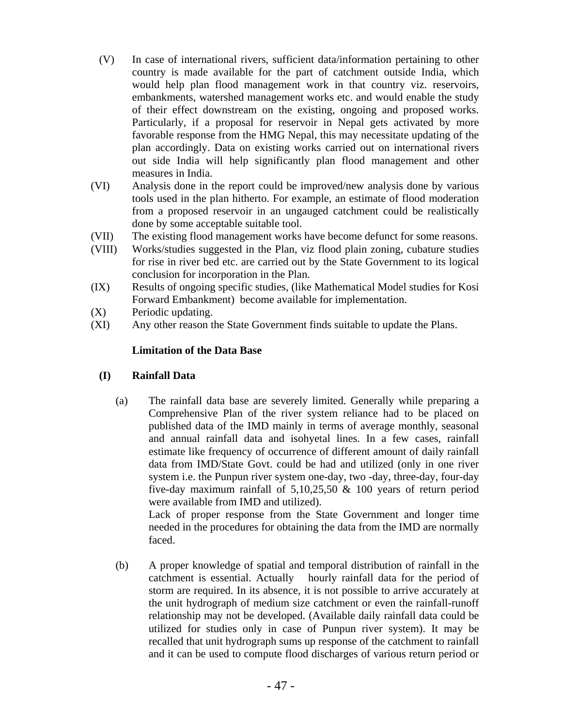- (V) In case of international rivers, sufficient data/information pertaining to other country is made available for the part of catchment outside India, which would help plan flood management work in that country viz. reservoirs, embankments, watershed management works etc. and would enable the study of their effect downstream on the existing, ongoing and proposed works. Particularly, if a proposal for reservoir in Nepal gets activated by more favorable response from the HMG Nepal, this may necessitate updating of the plan accordingly. Data on existing works carried out on international rivers out side India will help significantly plan flood management and other measures in India.
- (VI) Analysis done in the report could be improved/new analysis done by various tools used in the plan hitherto. For example, an estimate of flood moderation from a proposed reservoir in an ungauged catchment could be realistically done by some acceptable suitable tool.
- (VII) The existing flood management works have become defunct for some reasons.
- (VIII) Works/studies suggested in the Plan, viz flood plain zoning, cubature studies for rise in river bed etc. are carried out by the State Government to its logical conclusion for incorporation in the Plan.
- (IX) Results of ongoing specific studies, (like Mathematical Model studies for Kosi Forward Embankment) become available for implementation.
- (X) Periodic updating.
- (XI) Any other reason the State Government finds suitable to update the Plans.

# **Limitation of the Data Base**

# **(I) Rainfall Data**

(a) The rainfall data base are severely limited. Generally while preparing a Comprehensive Plan of the river system reliance had to be placed on published data of the IMD mainly in terms of average monthly, seasonal and annual rainfall data and isohyetal lines. In a few cases, rainfall estimate like frequency of occurrence of different amount of daily rainfall data from IMD/State Govt. could be had and utilized (only in one river system i.e. the Punpun river system one-day, two -day, three-day, four-day five-day maximum rainfall of 5,10,25,50 & 100 years of return period were available from IMD and utilized).

Lack of proper response from the State Government and longer time needed in the procedures for obtaining the data from the IMD are normally faced.

(b) A proper knowledge of spatial and temporal distribution of rainfall in the catchment is essential. Actually hourly rainfall data for the period of storm are required. In its absence, it is not possible to arrive accurately at the unit hydrograph of medium size catchment or even the rainfall-runoff relationship may not be developed. (Available daily rainfall data could be utilized for studies only in case of Punpun river system). It may be recalled that unit hydrograph sums up response of the catchment to rainfall and it can be used to compute flood discharges of various return period or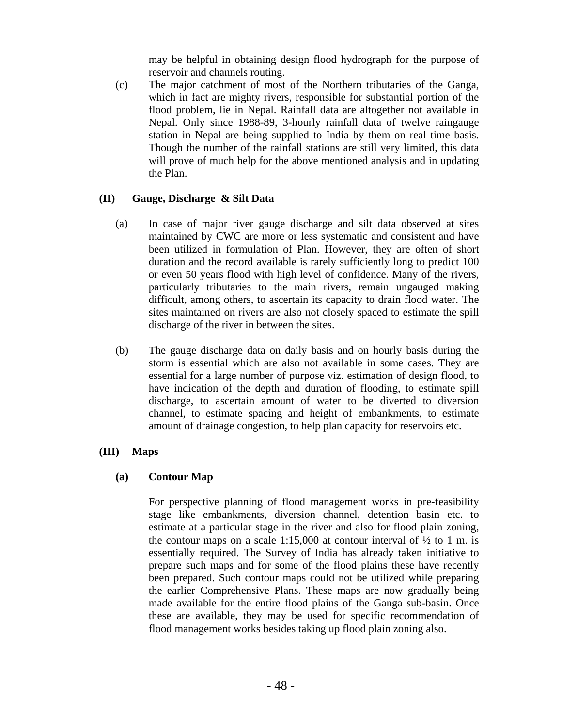may be helpful in obtaining design flood hydrograph for the purpose of reservoir and channels routing.

(c) The major catchment of most of the Northern tributaries of the Ganga, which in fact are mighty rivers, responsible for substantial portion of the flood problem, lie in Nepal. Rainfall data are altogether not available in Nepal. Only since 1988-89, 3-hourly rainfall data of twelve raingauge station in Nepal are being supplied to India by them on real time basis. Though the number of the rainfall stations are still very limited, this data will prove of much help for the above mentioned analysis and in updating the Plan.

# **(II) Gauge, Discharge & Silt Data**

- (a) In case of major river gauge discharge and silt data observed at sites maintained by CWC are more or less systematic and consistent and have been utilized in formulation of Plan. However, they are often of short duration and the record available is rarely sufficiently long to predict 100 or even 50 years flood with high level of confidence. Many of the rivers, particularly tributaries to the main rivers, remain ungauged making difficult, among others, to ascertain its capacity to drain flood water. The sites maintained on rivers are also not closely spaced to estimate the spill discharge of the river in between the sites.
- (b) The gauge discharge data on daily basis and on hourly basis during the storm is essential which are also not available in some cases. They are essential for a large number of purpose viz. estimation of design flood, to have indication of the depth and duration of flooding, to estimate spill discharge, to ascertain amount of water to be diverted to diversion channel, to estimate spacing and height of embankments, to estimate amount of drainage congestion, to help plan capacity for reservoirs etc.

# **(III) Maps**

# **(a) Contour Map**

For perspective planning of flood management works in pre-feasibility stage like embankments, diversion channel, detention basin etc. to estimate at a particular stage in the river and also for flood plain zoning, the contour maps on a scale 1:15,000 at contour interval of  $\frac{1}{2}$  to 1 m. is essentially required. The Survey of India has already taken initiative to prepare such maps and for some of the flood plains these have recently been prepared. Such contour maps could not be utilized while preparing the earlier Comprehensive Plans. These maps are now gradually being made available for the entire flood plains of the Ganga sub-basin. Once these are available, they may be used for specific recommendation of flood management works besides taking up flood plain zoning also.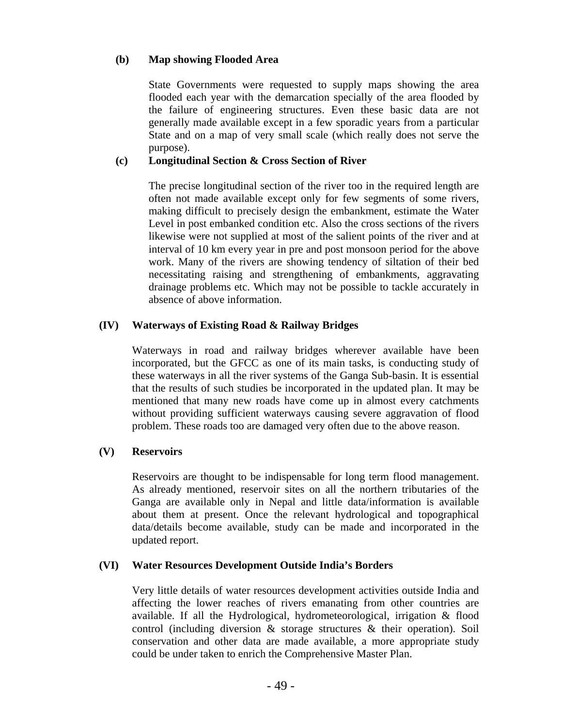# **(b) Map showing Flooded Area**

State Governments were requested to supply maps showing the area flooded each year with the demarcation specially of the area flooded by the failure of engineering structures. Even these basic data are not generally made available except in a few sporadic years from a particular State and on a map of very small scale (which really does not serve the purpose).

# **(c) Longitudinal Section & Cross Section of River**

The precise longitudinal section of the river too in the required length are often not made available except only for few segments of some rivers, making difficult to precisely design the embankment, estimate the Water Level in post embanked condition etc. Also the cross sections of the rivers likewise were not supplied at most of the salient points of the river and at interval of 10 km every year in pre and post monsoon period for the above work. Many of the rivers are showing tendency of siltation of their bed necessitating raising and strengthening of embankments, aggravating drainage problems etc. Which may not be possible to tackle accurately in absence of above information.

# **(IV) Waterways of Existing Road & Railway Bridges**

 Waterways in road and railway bridges wherever available have been incorporated, but the GFCC as one of its main tasks, is conducting study of these waterways in all the river systems of the Ganga Sub-basin. It is essential that the results of such studies be incorporated in the updated plan. It may be mentioned that many new roads have come up in almost every catchments without providing sufficient waterways causing severe aggravation of flood problem. These roads too are damaged very often due to the above reason.

# **(V) Reservoirs**

Reservoirs are thought to be indispensable for long term flood management. As already mentioned, reservoir sites on all the northern tributaries of the Ganga are available only in Nepal and little data/information is available about them at present. Once the relevant hydrological and topographical data/details become available, study can be made and incorporated in the updated report.

# **(VI) Water Resources Development Outside India's Borders**

Very little details of water resources development activities outside India and affecting the lower reaches of rivers emanating from other countries are available. If all the Hydrological, hydrometeorological, irrigation & flood control (including diversion & storage structures & their operation). Soil conservation and other data are made available, a more appropriate study could be under taken to enrich the Comprehensive Master Plan.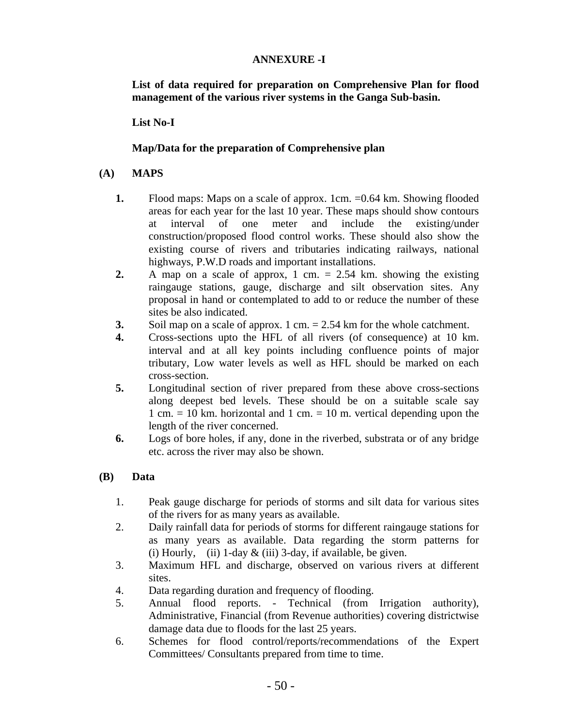# **ANNEXURE -I**

**List of data required for preparation on Comprehensive Plan for flood management of the various river systems in the Ganga Sub-basin.** 

**List No-I** 

# **Map/Data for the preparation of Comprehensive plan**

## **(A) MAPS**

- **1.** Flood maps: Maps on a scale of approx. 1cm. = 0.64 km. Showing flooded areas for each year for the last 10 year. These maps should show contours at interval of one meter and include the existing/under construction/proposed flood control works. These should also show the existing course of rivers and tributaries indicating railways, national highways, P.W.D roads and important installations.
- **2.** A map on a scale of approx, 1 cm. = 2.54 km. showing the existing raingauge stations, gauge, discharge and silt observation sites. Any proposal in hand or contemplated to add to or reduce the number of these sites be also indicated.
- **3.** Soil map on a scale of approx. 1 cm. = 2.54 km for the whole catchment.
- **4.** Cross-sections upto the HFL of all rivers (of consequence) at 10 km. interval and at all key points including confluence points of major tributary, Low water levels as well as HFL should be marked on each cross-section.
- **5.** Longitudinal section of river prepared from these above cross-sections along deepest bed levels. These should be on a suitable scale say 1 cm.  $= 10$  km. horizontal and 1 cm.  $= 10$  m. vertical depending upon the length of the river concerned.
- **6.** Logs of bore holes, if any, done in the riverbed, substrata or of any bridge etc. across the river may also be shown.

# **(B) Data**

- 1. Peak gauge discharge for periods of storms and silt data for various sites of the rivers for as many years as available.
- 2. Daily rainfall data for periods of storms for different raingauge stations for as many years as available. Data regarding the storm patterns for (i) Hourly, (ii) 1-day  $&$  (iii) 3-day, if available, be given.
- 3. Maximum HFL and discharge, observed on various rivers at different sites.
- 4. Data regarding duration and frequency of flooding.
- 5. Annual flood reports. Technical (from Irrigation authority), Administrative, Financial (from Revenue authorities) covering districtwise damage data due to floods for the last 25 years.
- 6. Schemes for flood control/reports/recommendations of the Expert Committees/ Consultants prepared from time to time.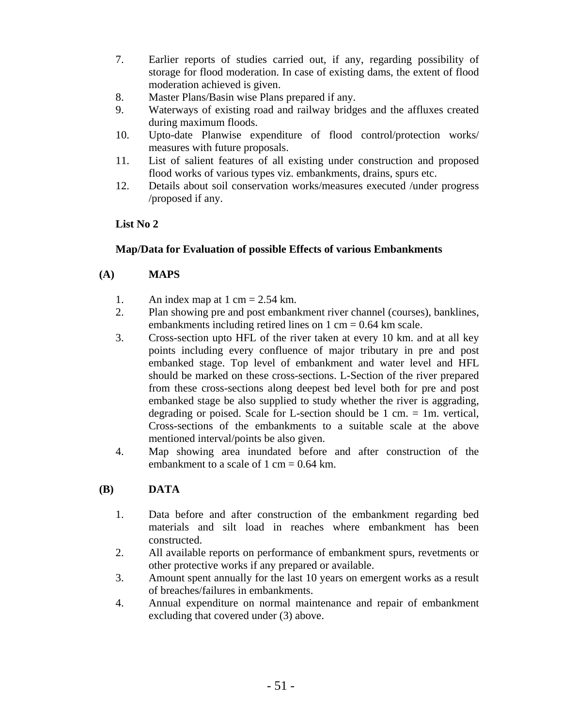- 7. Earlier reports of studies carried out, if any, regarding possibility of storage for flood moderation. In case of existing dams, the extent of flood moderation achieved is given.
- 8. Master Plans/Basin wise Plans prepared if any.
- 9. Waterways of existing road and railway bridges and the affluxes created during maximum floods.
- 10. Upto-date Planwise expenditure of flood control/protection works/ measures with future proposals.
- 11. List of salient features of all existing under construction and proposed flood works of various types viz. embankments, drains, spurs etc.
- 12. Details about soil conservation works/measures executed /under progress /proposed if any.

### **List No 2**

### **Map/Data for Evaluation of possible Effects of various Embankments**

### **(A) MAPS**

- 1. An index map at 1 cm =  $2.54$  km.
- 2. Plan showing pre and post embankment river channel (courses), banklines, embankments including retired lines on  $1 \text{ cm} = 0.64 \text{ km}$  scale.
- 3. Cross-section upto HFL of the river taken at every 10 km. and at all key points including every confluence of major tributary in pre and post embanked stage. Top level of embankment and water level and HFL should be marked on these cross-sections. L-Section of the river prepared from these cross-sections along deepest bed level both for pre and post embanked stage be also supplied to study whether the river is aggrading, degrading or poised. Scale for L-section should be  $1 \text{ cm} = 1 \text{ m}$ , vertical, Cross-sections of the embankments to a suitable scale at the above mentioned interval/points be also given.
- 4. Map showing area inundated before and after construction of the embankment to a scale of 1 cm =  $0.64$  km.

#### **(B) DATA**

- 1. Data before and after construction of the embankment regarding bed materials and silt load in reaches where embankment has been constructed.
- 2. All available reports on performance of embankment spurs, revetments or other protective works if any prepared or available.
- 3. Amount spent annually for the last 10 years on emergent works as a result of breaches/failures in embankments.
- 4. Annual expenditure on normal maintenance and repair of embankment excluding that covered under (3) above.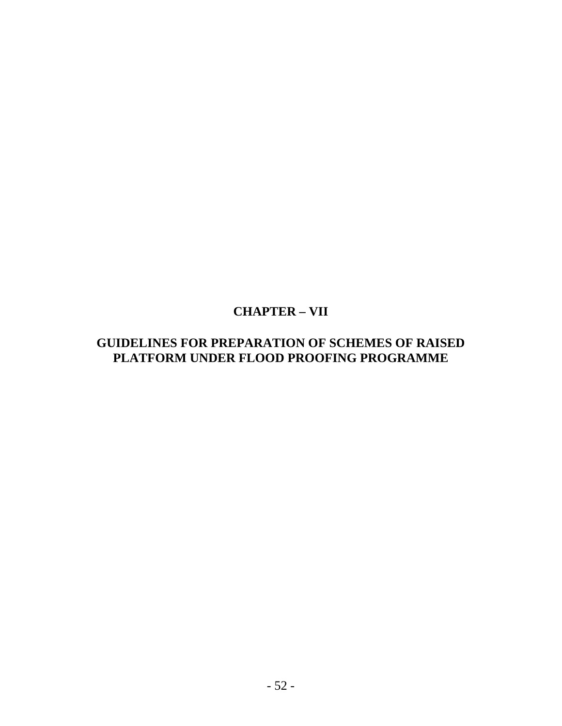# **CHAPTER – VII**

# **GUIDELINES FOR PREPARATION OF SCHEMES OF RAISED PLATFORM UNDER FLOOD PROOFING PROGRAMME**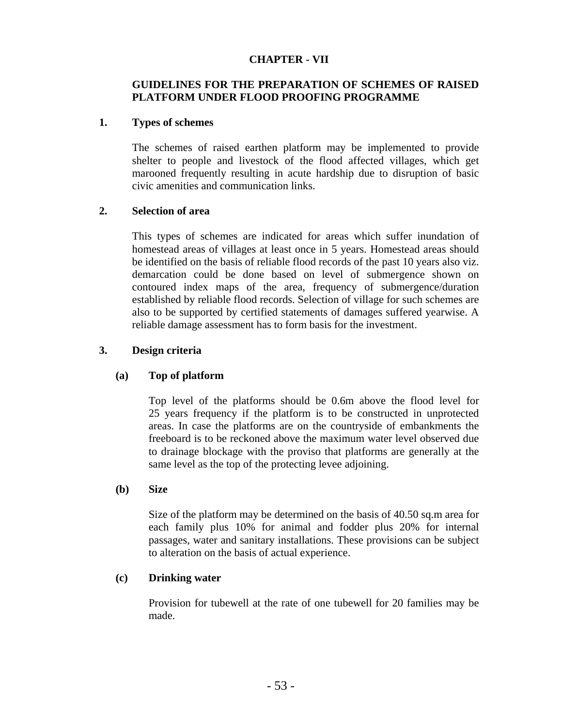# **CHAPTER - VII**

# **GUIDELINES FOR THE PREPARATION OF SCHEMES OF RAISED PLATFORM UNDER FLOOD PROOFING PROGRAMME**

## **1. Types of schemes**

The schemes of raised earthen platform may be implemented to provide shelter to people and livestock of the flood affected villages, which get marooned frequently resulting in acute hardship due to disruption of basic civic amenities and communication links.

### **2. Selection of area**

This types of schemes are indicated for areas which suffer inundation of homestead areas of villages at least once in 5 years. Homestead areas should be identified on the basis of reliable flood records of the past 10 years also viz. demarcation could be done based on level of submergence shown on contoured index maps of the area, frequency of submergence/duration established by reliable flood records. Selection of village for such schemes are also to be supported by certified statements of damages suffered yearwise. A reliable damage assessment has to form basis for the investment.

### **3. Design criteria**

# **(a) Top of platform**

Top level of the platforms should be 0.6m above the flood level for 25 years frequency if the platform is to be constructed in unprotected areas. In case the platforms are on the countryside of embankments the freeboard is to be reckoned above the maximum water level observed due to drainage blockage with the proviso that platforms are generally at the same level as the top of the protecting levee adjoining.

#### **(b) Size**

Size of the platform may be determined on the basis of 40.50 sq.m area for each family plus 10% for animal and fodder plus 20% for internal passages, water and sanitary installations. These provisions can be subject to alteration on the basis of actual experience.

#### **(c) Drinking water**

Provision for tubewell at the rate of one tubewell for 20 families may be made.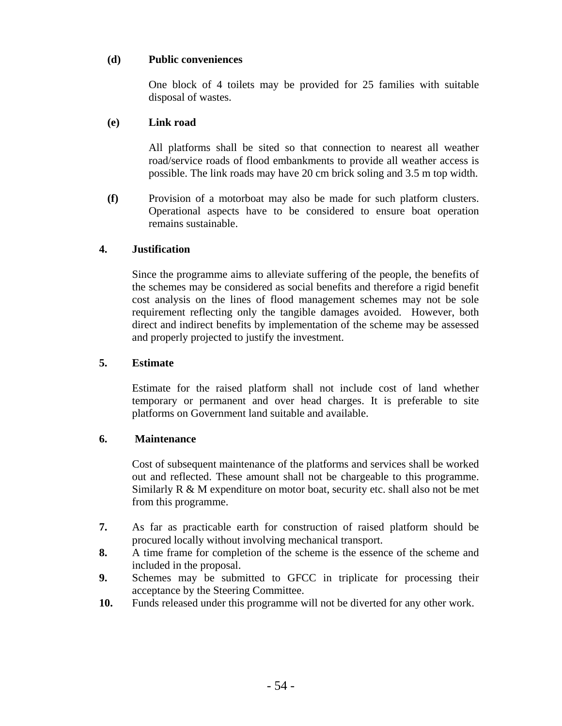## **(d) Public conveniences**

One block of 4 toilets may be provided for 25 families with suitable disposal of wastes.

### **(e) Link road**

All platforms shall be sited so that connection to nearest all weather road/service roads of flood embankments to provide all weather access is possible. The link roads may have 20 cm brick soling and 3.5 m top width.

**(f)** Provision of a motorboat may also be made for such platform clusters. Operational aspects have to be considered to ensure boat operation remains sustainable.

### **4. Justification**

 Since the programme aims to alleviate suffering of the people, the benefits of the schemes may be considered as social benefits and therefore a rigid benefit cost analysis on the lines of flood management schemes may not be sole requirement reflecting only the tangible damages avoided. However, both direct and indirect benefits by implementation of the scheme may be assessed and properly projected to justify the investment.

#### **5. Estimate**

Estimate for the raised platform shall not include cost of land whether temporary or permanent and over head charges. It is preferable to site platforms on Government land suitable and available.

#### **6. Maintenance**

 Cost of subsequent maintenance of the platforms and services shall be worked out and reflected. These amount shall not be chargeable to this programme. Similarly  $R \& M$  expenditure on motor boat, security etc. shall also not be met from this programme.

- **7.** As far as practicable earth for construction of raised platform should be procured locally without involving mechanical transport.
- **8.** A time frame for completion of the scheme is the essence of the scheme and included in the proposal.
- **9.** Schemes may be submitted to GFCC in triplicate for processing their acceptance by the Steering Committee.
- **10.** Funds released under this programme will not be diverted for any other work.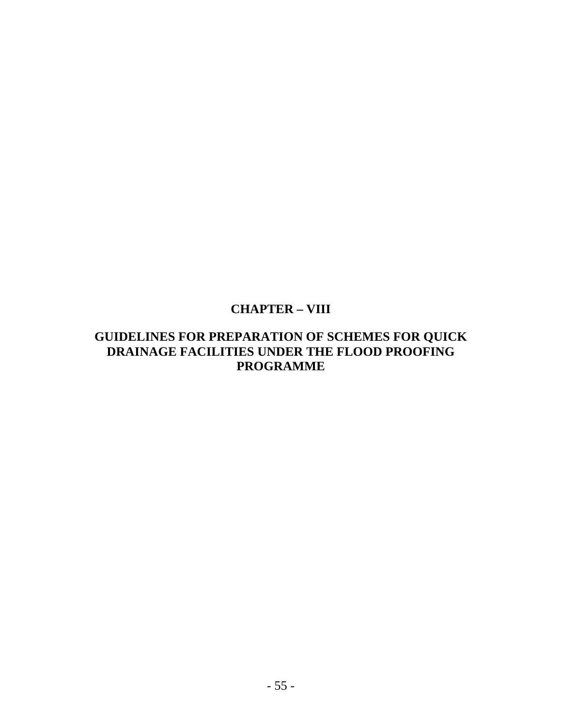# **CHAPTER – VIII**

# **GUIDELINES FOR PREPARATION OF SCHEMES FOR QUICK DRAINAGE FACILITIES UNDER THE FLOOD PROOFING PROGRAMME**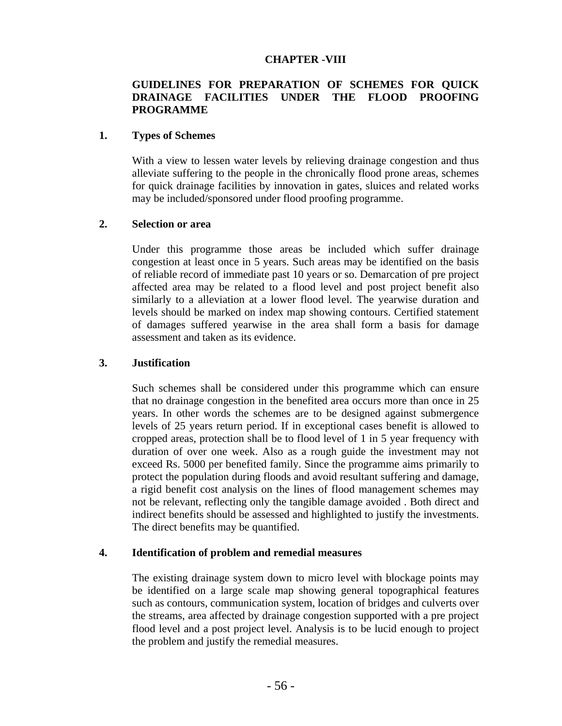#### **CHAPTER -VIII**

# **GUIDELINES FOR PREPARATION OF SCHEMES FOR QUICK DRAINAGE FACILITIES UNDER THE FLOOD PROOFING PROGRAMME**

#### **1. Types of Schemes**

 With a view to lessen water levels by relieving drainage congestion and thus alleviate suffering to the people in the chronically flood prone areas, schemes for quick drainage facilities by innovation in gates, sluices and related works may be included/sponsored under flood proofing programme.

### **2. Selection or area**

 Under this programme those areas be included which suffer drainage congestion at least once in 5 years. Such areas may be identified on the basis of reliable record of immediate past 10 years or so. Demarcation of pre project affected area may be related to a flood level and post project benefit also similarly to a alleviation at a lower flood level. The yearwise duration and levels should be marked on index map showing contours. Certified statement of damages suffered yearwise in the area shall form a basis for damage assessment and taken as its evidence.

#### **3. Justification**

 Such schemes shall be considered under this programme which can ensure that no drainage congestion in the benefited area occurs more than once in 25 years. In other words the schemes are to be designed against submergence levels of 25 years return period. If in exceptional cases benefit is allowed to cropped areas, protection shall be to flood level of 1 in 5 year frequency with duration of over one week. Also as a rough guide the investment may not exceed Rs. 5000 per benefited family. Since the programme aims primarily to protect the population during floods and avoid resultant suffering and damage, a rigid benefit cost analysis on the lines of flood management schemes may not be relevant, reflecting only the tangible damage avoided . Both direct and indirect benefits should be assessed and highlighted to justify the investments. The direct benefits may be quantified.

#### **4. Identification of problem and remedial measures**

 The existing drainage system down to micro level with blockage points may be identified on a large scale map showing general topographical features such as contours, communication system, location of bridges and culverts over the streams, area affected by drainage congestion supported with a pre project flood level and a post project level. Analysis is to be lucid enough to project the problem and justify the remedial measures.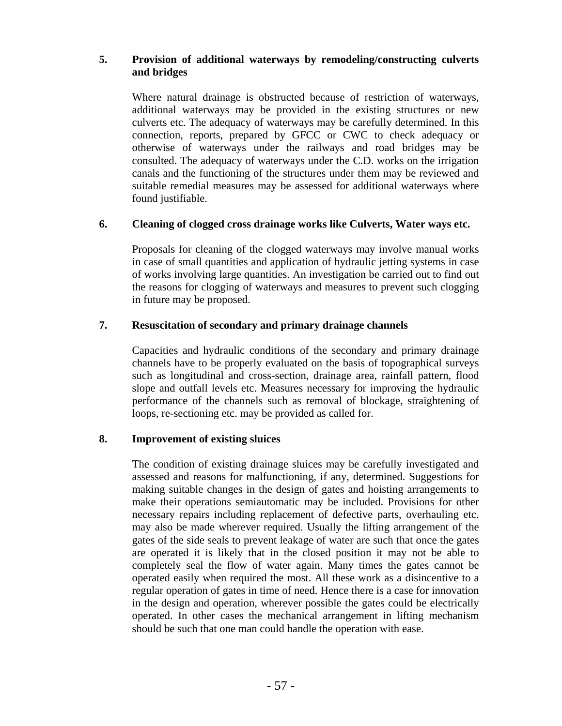### **5. Provision of additional waterways by remodeling/constructing culverts and bridges**

 Where natural drainage is obstructed because of restriction of waterways, additional waterways may be provided in the existing structures or new culverts etc. The adequacy of waterways may be carefully determined. In this connection, reports, prepared by GFCC or CWC to check adequacy or otherwise of waterways under the railways and road bridges may be consulted. The adequacy of waterways under the C.D. works on the irrigation canals and the functioning of the structures under them may be reviewed and suitable remedial measures may be assessed for additional waterways where found justifiable.

### **6. Cleaning of clogged cross drainage works like Culverts, Water ways etc.**

 Proposals for cleaning of the clogged waterways may involve manual works in case of small quantities and application of hydraulic jetting systems in case of works involving large quantities. An investigation be carried out to find out the reasons for clogging of waterways and measures to prevent such clogging in future may be proposed.

# **7. Resuscitation of secondary and primary drainage channels**

 Capacities and hydraulic conditions of the secondary and primary drainage channels have to be properly evaluated on the basis of topographical surveys such as longitudinal and cross-section, drainage area, rainfall pattern, flood slope and outfall levels etc. Measures necessary for improving the hydraulic performance of the channels such as removal of blockage, straightening of loops, re-sectioning etc. may be provided as called for.

# **8. Improvement of existing sluices**

 The condition of existing drainage sluices may be carefully investigated and assessed and reasons for malfunctioning, if any, determined. Suggestions for making suitable changes in the design of gates and hoisting arrangements to make their operations semiautomatic may be included. Provisions for other necessary repairs including replacement of defective parts, overhauling etc. may also be made wherever required. Usually the lifting arrangement of the gates of the side seals to prevent leakage of water are such that once the gates are operated it is likely that in the closed position it may not be able to completely seal the flow of water again. Many times the gates cannot be operated easily when required the most. All these work as a disincentive to a regular operation of gates in time of need. Hence there is a case for innovation in the design and operation, wherever possible the gates could be electrically operated. In other cases the mechanical arrangement in lifting mechanism should be such that one man could handle the operation with ease.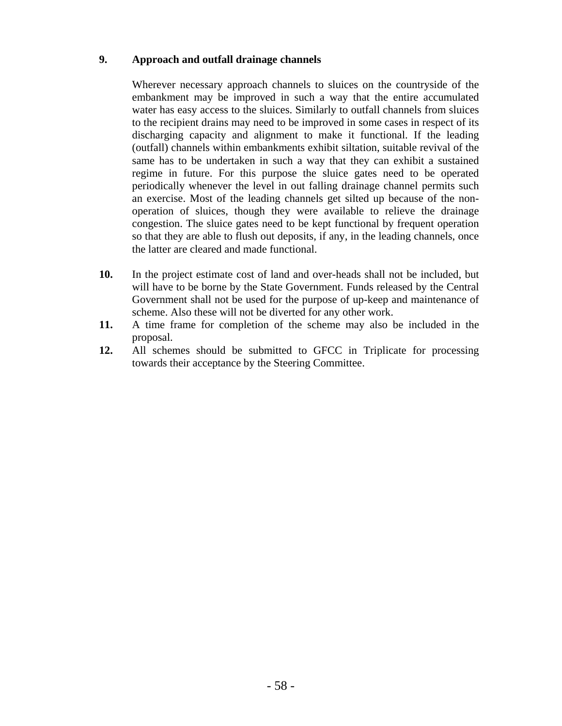# **9. Approach and outfall drainage channels**

 Wherever necessary approach channels to sluices on the countryside of the embankment may be improved in such a way that the entire accumulated water has easy access to the sluices. Similarly to outfall channels from sluices to the recipient drains may need to be improved in some cases in respect of its discharging capacity and alignment to make it functional. If the leading (outfall) channels within embankments exhibit siltation, suitable revival of the same has to be undertaken in such a way that they can exhibit a sustained regime in future. For this purpose the sluice gates need to be operated periodically whenever the level in out falling drainage channel permits such an exercise. Most of the leading channels get silted up because of the nonoperation of sluices, though they were available to relieve the drainage congestion. The sluice gates need to be kept functional by frequent operation so that they are able to flush out deposits, if any, in the leading channels, once the latter are cleared and made functional.

- **10.** In the project estimate cost of land and over-heads shall not be included, but will have to be borne by the State Government. Funds released by the Central Government shall not be used for the purpose of up-keep and maintenance of scheme. Also these will not be diverted for any other work.
- **11.** A time frame for completion of the scheme may also be included in the proposal.
- **12.** All schemes should be submitted to GFCC in Triplicate for processing towards their acceptance by the Steering Committee.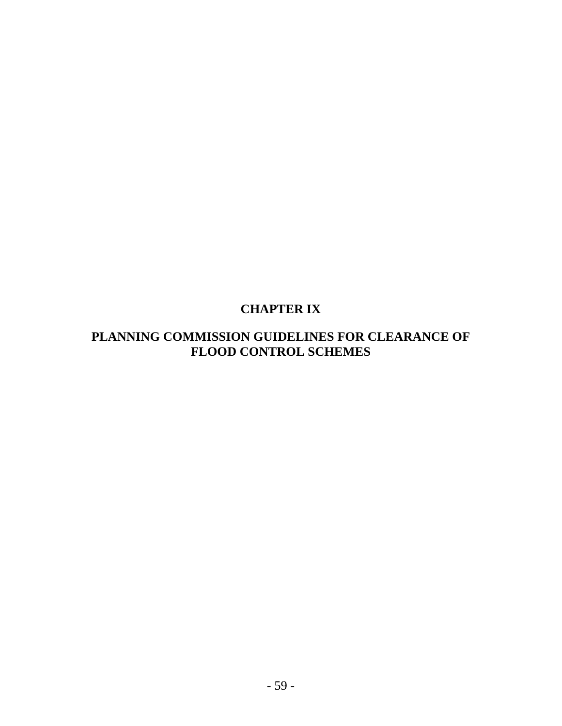# **CHAPTER IX**

# **PLANNING COMMISSION GUIDELINES FOR CLEARANCE OF FLOOD CONTROL SCHEMES**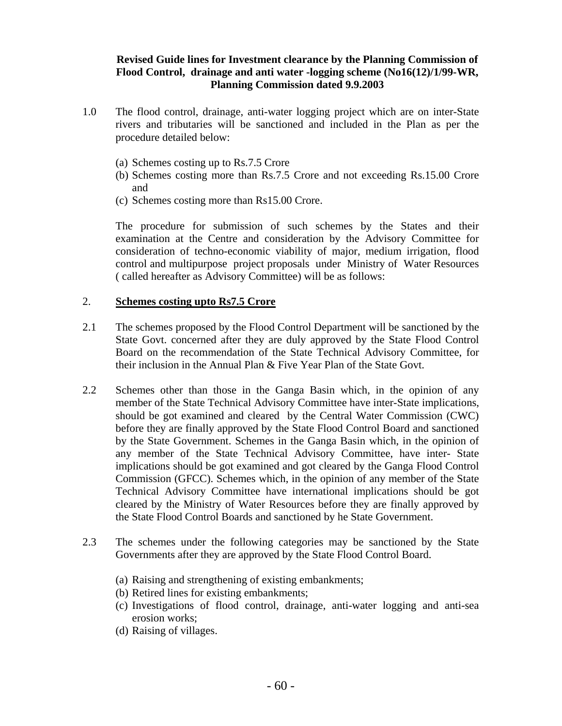### **Revised Guide lines for Investment clearance by the Planning Commission of Flood Control, drainage and anti water -logging scheme (No16(12)/1/99-WR, Planning Commission dated 9.9.2003**

- 1.0 The flood control, drainage, anti-water logging project which are on inter-State rivers and tributaries will be sanctioned and included in the Plan as per the procedure detailed below:
	- (a) Schemes costing up to Rs.7.5 Crore
	- (b) Schemes costing more than Rs.7.5 Crore and not exceeding Rs.15.00 Crore and
	- (c) Schemes costing more than Rs15.00 Crore.

The procedure for submission of such schemes by the States and their examination at the Centre and consideration by the Advisory Committee for consideration of techno-economic viability of major, medium irrigation, flood control and multipurpose project proposals under Ministry of Water Resources ( called hereafter as Advisory Committee) will be as follows:

#### 2. **Schemes costing upto Rs7.5 Crore**

- 2.1 The schemes proposed by the Flood Control Department will be sanctioned by the State Govt. concerned after they are duly approved by the State Flood Control Board on the recommendation of the State Technical Advisory Committee, for their inclusion in the Annual Plan & Five Year Plan of the State Govt.
- 2.2 Schemes other than those in the Ganga Basin which, in the opinion of any member of the State Technical Advisory Committee have inter-State implications, should be got examined and cleared by the Central Water Commission (CWC) before they are finally approved by the State Flood Control Board and sanctioned by the State Government. Schemes in the Ganga Basin which, in the opinion of any member of the State Technical Advisory Committee, have inter- State implications should be got examined and got cleared by the Ganga Flood Control Commission (GFCC). Schemes which, in the opinion of any member of the State Technical Advisory Committee have international implications should be got cleared by the Ministry of Water Resources before they are finally approved by the State Flood Control Boards and sanctioned by he State Government.
- 2.3 The schemes under the following categories may be sanctioned by the State Governments after they are approved by the State Flood Control Board.
	- (a) Raising and strengthening of existing embankments;
	- (b) Retired lines for existing embankments;
	- (c) Investigations of flood control, drainage, anti-water logging and anti-sea erosion works;
	- (d) Raising of villages.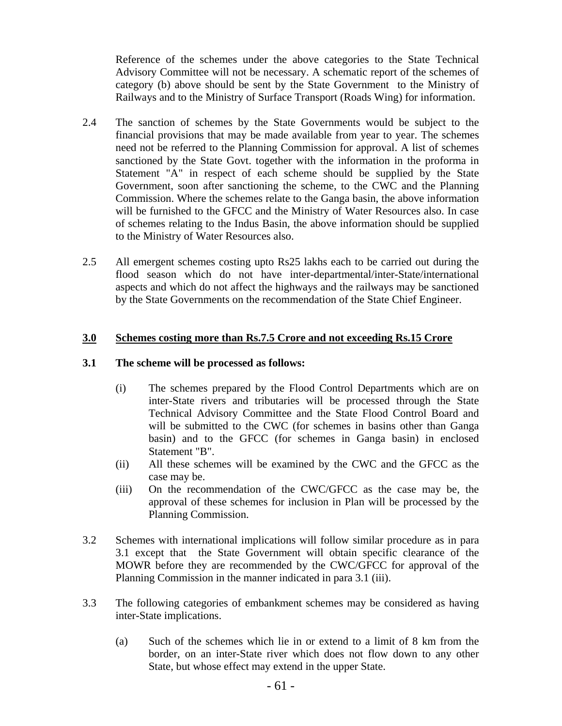Reference of the schemes under the above categories to the State Technical Advisory Committee will not be necessary. A schematic report of the schemes of category (b) above should be sent by the State Government to the Ministry of Railways and to the Ministry of Surface Transport (Roads Wing) for information.

- 2.4 The sanction of schemes by the State Governments would be subject to the financial provisions that may be made available from year to year. The schemes need not be referred to the Planning Commission for approval. A list of schemes sanctioned by the State Govt. together with the information in the proforma in Statement "A" in respect of each scheme should be supplied by the State Government, soon after sanctioning the scheme, to the CWC and the Planning Commission. Where the schemes relate to the Ganga basin, the above information will be furnished to the GFCC and the Ministry of Water Resources also. In case of schemes relating to the Indus Basin, the above information should be supplied to the Ministry of Water Resources also.
- 2.5 All emergent schemes costing upto Rs25 lakhs each to be carried out during the flood season which do not have inter-departmental/inter-State/international aspects and which do not affect the highways and the railways may be sanctioned by the State Governments on the recommendation of the State Chief Engineer.

### **3.0 Schemes costing more than Rs.7.5 Crore and not exceeding Rs.15 Crore**

#### **3.1 The scheme will be processed as follows:**

- (i) The schemes prepared by the Flood Control Departments which are on inter-State rivers and tributaries will be processed through the State Technical Advisory Committee and the State Flood Control Board and will be submitted to the CWC (for schemes in basins other than Ganga basin) and to the GFCC (for schemes in Ganga basin) in enclosed Statement "B".
- (ii) All these schemes will be examined by the CWC and the GFCC as the case may be.
- (iii) On the recommendation of the CWC/GFCC as the case may be, the approval of these schemes for inclusion in Plan will be processed by the Planning Commission.
- 3.2 Schemes with international implications will follow similar procedure as in para 3.1 except that the State Government will obtain specific clearance of the MOWR before they are recommended by the CWC/GFCC for approval of the Planning Commission in the manner indicated in para 3.1 (iii).
- 3.3 The following categories of embankment schemes may be considered as having inter-State implications.
	- (a) Such of the schemes which lie in or extend to a limit of 8 km from the border, on an inter-State river which does not flow down to any other State, but whose effect may extend in the upper State.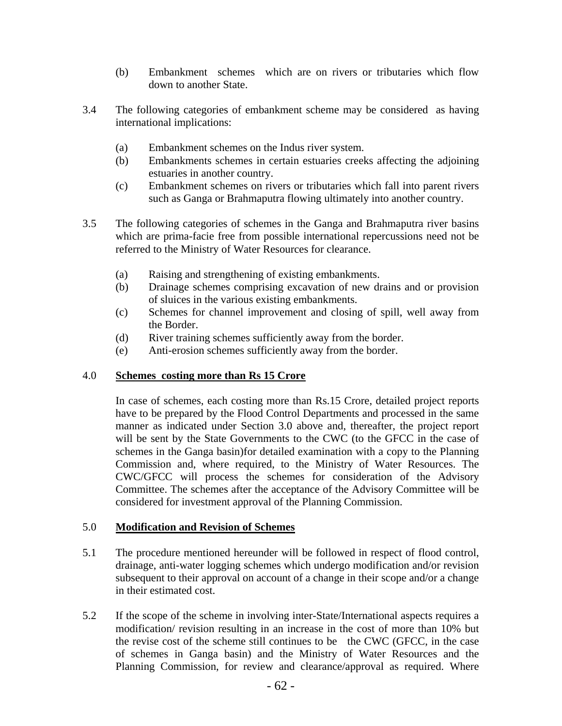- (b) Embankment schemes which are on rivers or tributaries which flow down to another State.
- 3.4 The following categories of embankment scheme may be considered as having international implications:
	- (a) Embankment schemes on the Indus river system.
	- (b) Embankments schemes in certain estuaries creeks affecting the adjoining estuaries in another country.
	- (c) Embankment schemes on rivers or tributaries which fall into parent rivers such as Ganga or Brahmaputra flowing ultimately into another country.
- 3.5 The following categories of schemes in the Ganga and Brahmaputra river basins which are prima-facie free from possible international repercussions need not be referred to the Ministry of Water Resources for clearance.
	- (a) Raising and strengthening of existing embankments.
	- (b) Drainage schemes comprising excavation of new drains and or provision of sluices in the various existing embankments.
	- (c) Schemes for channel improvement and closing of spill, well away from the Border.
	- (d) River training schemes sufficiently away from the border.
	- (e) Anti-erosion schemes sufficiently away from the border.

# 4.0 **Schemes costing more than Rs 15 Crore**

In case of schemes, each costing more than Rs.15 Crore, detailed project reports have to be prepared by the Flood Control Departments and processed in the same manner as indicated under Section 3.0 above and, thereafter, the project report will be sent by the State Governments to the CWC (to the GFCC in the case of schemes in the Ganga basin)for detailed examination with a copy to the Planning Commission and, where required, to the Ministry of Water Resources. The CWC/GFCC will process the schemes for consideration of the Advisory Committee. The schemes after the acceptance of the Advisory Committee will be considered for investment approval of the Planning Commission.

# 5.0 **Modification and Revision of Schemes**

- 5.1 The procedure mentioned hereunder will be followed in respect of flood control, drainage, anti-water logging schemes which undergo modification and/or revision subsequent to their approval on account of a change in their scope and/or a change in their estimated cost.
- 5.2 If the scope of the scheme in involving inter-State/International aspects requires a modification/ revision resulting in an increase in the cost of more than 10% but the revise cost of the scheme still continues to be the CWC (GFCC, in the case of schemes in Ganga basin) and the Ministry of Water Resources and the Planning Commission, for review and clearance/approval as required. Where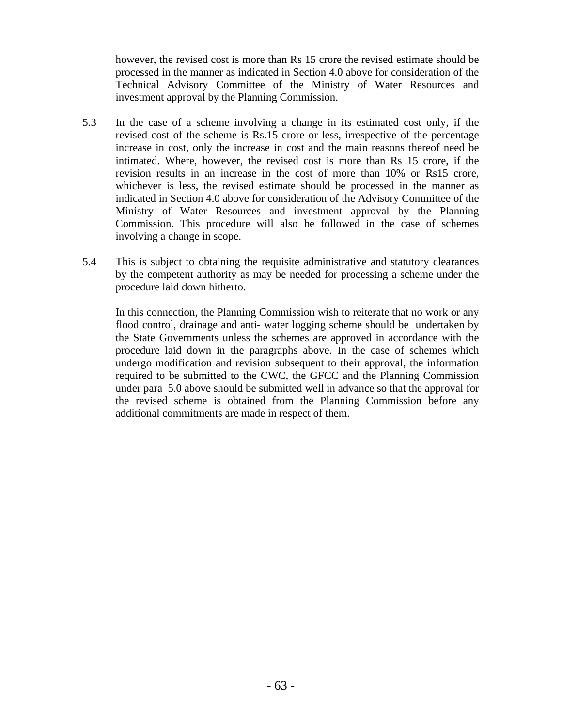however, the revised cost is more than Rs 15 crore the revised estimate should be processed in the manner as indicated in Section 4.0 above for consideration of the Technical Advisory Committee of the Ministry of Water Resources and investment approval by the Planning Commission.

- 5.3 In the case of a scheme involving a change in its estimated cost only, if the revised cost of the scheme is Rs.15 crore or less, irrespective of the percentage increase in cost, only the increase in cost and the main reasons thereof need be intimated. Where, however, the revised cost is more than Rs 15 crore, if the revision results in an increase in the cost of more than 10% or Rs15 crore, whichever is less, the revised estimate should be processed in the manner as indicated in Section 4.0 above for consideration of the Advisory Committee of the Ministry of Water Resources and investment approval by the Planning Commission. This procedure will also be followed in the case of schemes involving a change in scope.
- 5.4 This is subject to obtaining the requisite administrative and statutory clearances by the competent authority as may be needed for processing a scheme under the procedure laid down hitherto.

In this connection, the Planning Commission wish to reiterate that no work or any flood control, drainage and anti- water logging scheme should be undertaken by the State Governments unless the schemes are approved in accordance with the procedure laid down in the paragraphs above. In the case of schemes which undergo modification and revision subsequent to their approval, the information required to be submitted to the CWC, the GFCC and the Planning Commission under para 5.0 above should be submitted well in advance so that the approval for the revised scheme is obtained from the Planning Commission before any additional commitments are made in respect of them.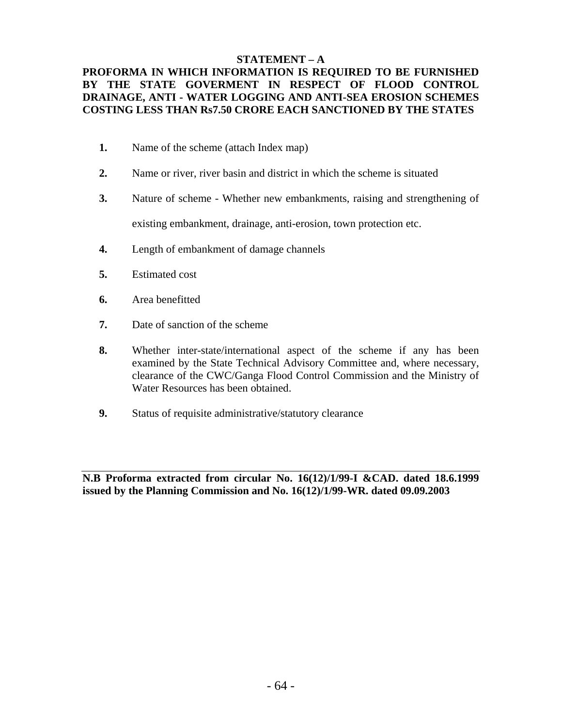### **STATEMENT – A**

# **PROFORMA IN WHICH INFORMATION IS REQUIRED TO BE FURNISHED BY THE STATE GOVERMENT IN RESPECT OF FLOOD CONTROL DRAINAGE, ANTI - WATER LOGGING AND ANTI-SEA EROSION SCHEMES COSTING LESS THAN Rs7.50 CRORE EACH SANCTIONED BY THE STATES**

- **1.** Name of the scheme (attach Index map)
- **2.** Name or river, river basin and district in which the scheme is situated
- **3.** Nature of scheme Whether new embankments, raising and strengthening of

existing embankment, drainage, anti-erosion, town protection etc.

- **4.** Length of embankment of damage channels
- **5.** Estimated cost
- **6.** Area benefitted
- **7.** Date of sanction of the scheme
- **8.** Whether inter-state/international aspect of the scheme if any has been examined by the State Technical Advisory Committee and, where necessary, clearance of the CWC/Ganga Flood Control Commission and the Ministry of Water Resources has been obtained.
- **9.** Status of requisite administrative/statutory clearance

**N.B Proforma extracted from circular No. 16(12)/1/99-I &CAD. dated 18.6.1999 issued by the Planning Commission and No. 16(12)/1/99-WR. dated 09.09.2003**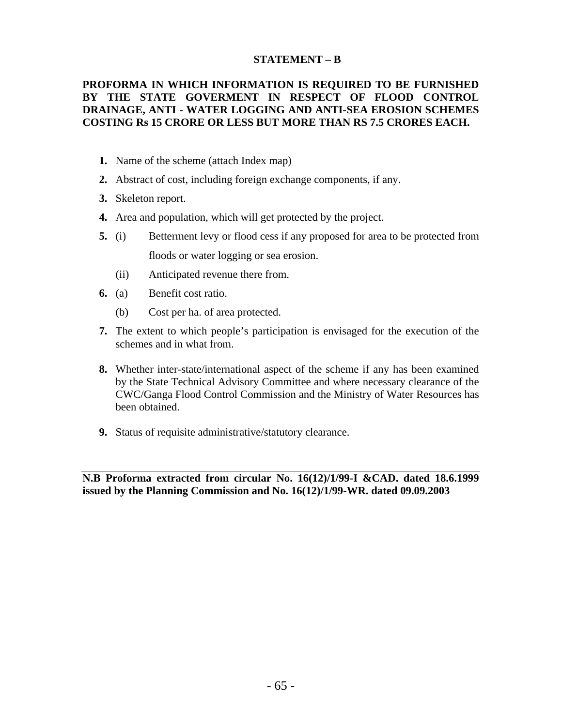### **STATEMENT – B**

# **PROFORMA IN WHICH INFORMATION IS REQUIRED TO BE FURNISHED BY THE STATE GOVERMENT IN RESPECT OF FLOOD CONTROL DRAINAGE, ANTI - WATER LOGGING AND ANTI-SEA EROSION SCHEMES COSTING Rs 15 CRORE OR LESS BUT MORE THAN RS 7.5 CRORES EACH.**

- **1.** Name of the scheme (attach Index map)
- **2.** Abstract of cost, including foreign exchange components, if any.
- **3.** Skeleton report.
- **4.** Area and population, which will get protected by the project.
- **5.** (i) Betterment levy or flood cess if any proposed for area to be protected from floods or water logging or sea erosion.
	- (ii) Anticipated revenue there from.
- **6.** (a) Benefit cost ratio.
	- (b) Cost per ha. of area protected.
- **7.** The extent to which people's participation is envisaged for the execution of the schemes and in what from.
- **8.** Whether inter-state/international aspect of the scheme if any has been examined by the State Technical Advisory Committee and where necessary clearance of the CWC/Ganga Flood Control Commission and the Ministry of Water Resources has been obtained.
- **9.** Status of requisite administrative/statutory clearance.

**N.B Proforma extracted from circular No. 16(12)/1/99-I &CAD. dated 18.6.1999 issued by the Planning Commission and No. 16(12)/1/99-WR. dated 09.09.2003**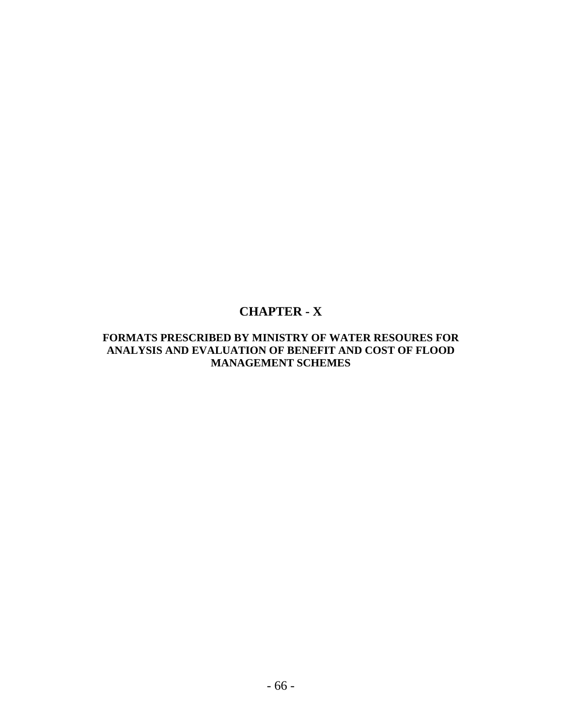# **CHAPTER - X**

# **FORMATS PRESCRIBED BY MINISTRY OF WATER RESOURES FOR ANALYSIS AND EVALUATION OF BENEFIT AND COST OF FLOOD MANAGEMENT SCHEMES**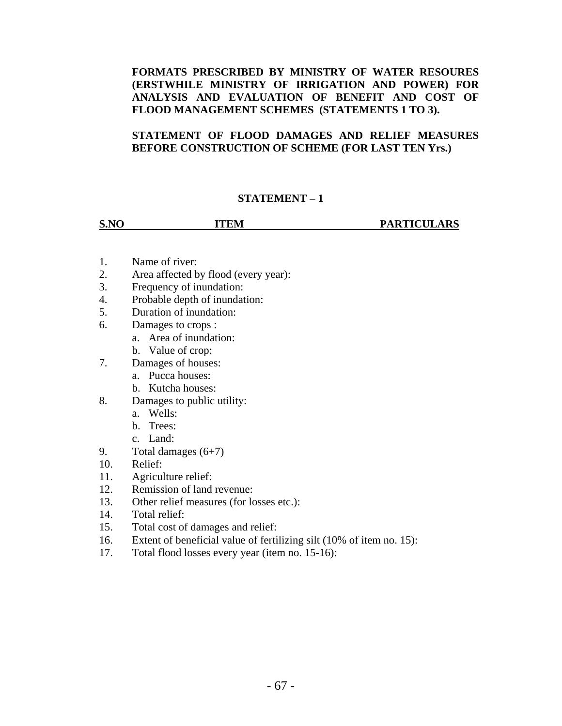# **FORMATS PRESCRIBED BY MINISTRY OF WATER RESOURES (ERSTWHILE MINISTRY OF IRRIGATION AND POWER) FOR ANALYSIS AND EVALUATION OF BENEFIT AND COST OF FLOOD MANAGEMENT SCHEMES (STATEMENTS 1 TO 3).**

# **STATEMENT OF FLOOD DAMAGES AND RELIEF MEASURES BEFORE CONSTRUCTION OF SCHEME (FOR LAST TEN Yrs.)**

# **STATEMENT – 1**

**S.NO ITEM PARTICULARS** 

- 1. Name of river:
- 2. Area affected by flood (every year):
- 3. Frequency of inundation:
- 4. Probable depth of inundation:
- 5. Duration of inundation:
- 6. Damages to crops :
	- a. Area of inundation:
	- b. Value of crop:
- 7. Damages of houses:
	- a. Pucca houses:
	- b. Kutcha houses:
- 8. Damages to public utility:
	- a. Wells:
	- b. Trees:
	- c. Land:
- 9. Total damages  $(6+7)$
- 10. Relief:
- 11. Agriculture relief:
- 12. Remission of land revenue:
- 13. Other relief measures (for losses etc.):
- 14. Total relief:
- 15. Total cost of damages and relief:
- 16. Extent of beneficial value of fertilizing silt (10% of item no. 15):
- 17. Total flood losses every year (item no. 15-16):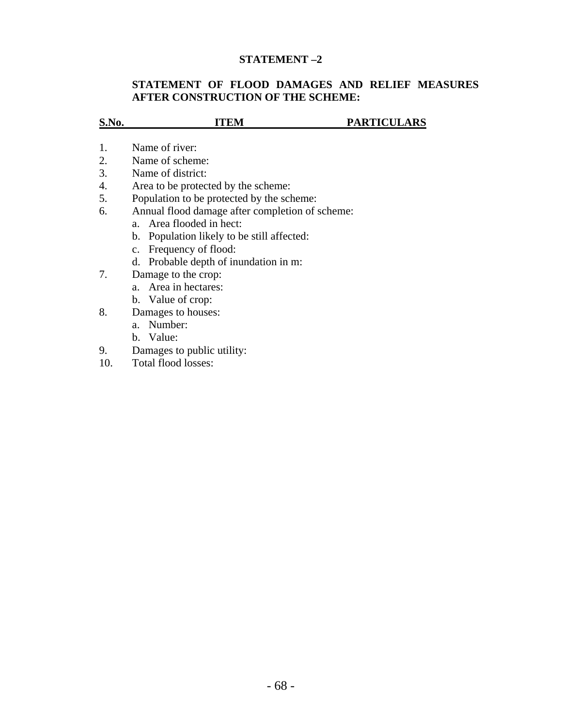# **STATEMENT –2**

# **STATEMENT OF FLOOD DAMAGES AND RELIEF MEASURES AFTER CONSTRUCTION OF THE SCHEME:**

| S.No. | ITEM                                                   | <b>PARTICULARS</b> |  |
|-------|--------------------------------------------------------|--------------------|--|
|       |                                                        |                    |  |
| 1.    | Name of river:                                         |                    |  |
| 2.    | Name of scheme:                                        |                    |  |
| 3.    | Name of district:                                      |                    |  |
| 4.    | Area to be protected by the scheme:                    |                    |  |
| 5.    | Population to be protected by the scheme:              |                    |  |
| 6.    | Annual flood damage after completion of scheme:        |                    |  |
|       | a. Area flooded in hect:                               |                    |  |
|       | Population likely to be still affected:<br>$b_{\cdot}$ |                    |  |
|       | c. Frequency of flood:                                 |                    |  |
|       | Probable depth of inundation in m:<br>d.               |                    |  |
| 7.    | Damage to the crop:                                    |                    |  |
|       | a. Area in hectares:                                   |                    |  |
|       | b. Value of crop:                                      |                    |  |
| 8.    | Damages to houses:                                     |                    |  |
|       | Number:<br>$a_{-}$                                     |                    |  |
|       | b. Value:                                              |                    |  |
| 9.    | Damages to public utility:                             |                    |  |
| 10.   | Total flood losses:                                    |                    |  |
|       |                                                        |                    |  |
|       |                                                        |                    |  |
|       |                                                        |                    |  |
|       |                                                        |                    |  |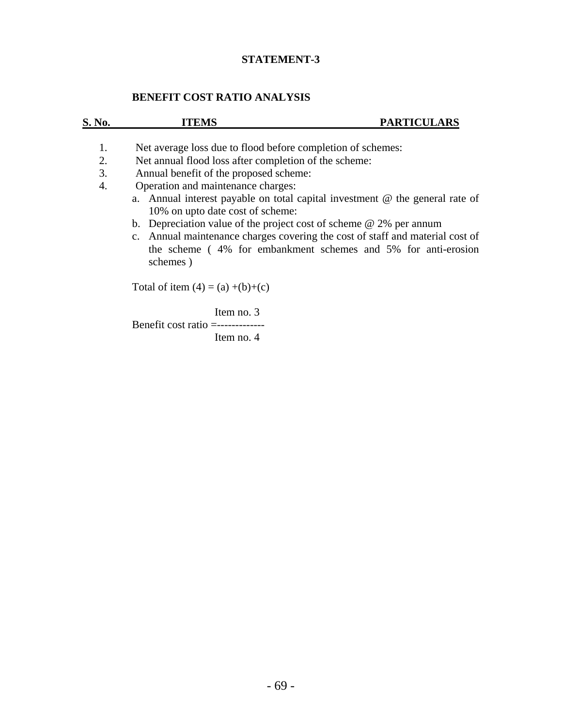# **STATEMENT-3**

# **BENEFIT COST RATIO ANALYSIS**

| S. No.                             | ITEMS                                                                                                                                                                                                                                                | <b>PARTICULARS</b>                                                                                                                                                                                                                                                                                                 |
|------------------------------------|------------------------------------------------------------------------------------------------------------------------------------------------------------------------------------------------------------------------------------------------------|--------------------------------------------------------------------------------------------------------------------------------------------------------------------------------------------------------------------------------------------------------------------------------------------------------------------|
| 1.<br>2.<br>3.<br>$\overline{4}$ . | Net average loss due to flood before completion of schemes:<br>Net annual flood loss after completion of the scheme:<br>Annual benefit of the proposed scheme:<br>Operation and maintenance charges:<br>10% on upto date cost of scheme:<br>schemes) | a. Annual interest payable on total capital investment $\omega$ the general rate of<br>b. Depreciation value of the project cost of scheme $\omega$ 2% per annum<br>c. Annual maintenance charges covering the cost of staff and material cost of<br>the scheme (4% for embankment schemes and 5% for anti-erosion |
|                                    | Total of item $(4) = (a) + (b)+(c)$                                                                                                                                                                                                                  |                                                                                                                                                                                                                                                                                                                    |
|                                    | Item no. 3<br>Benefit cost ratio $=$ -------------<br>Item no. 4                                                                                                                                                                                     |                                                                                                                                                                                                                                                                                                                    |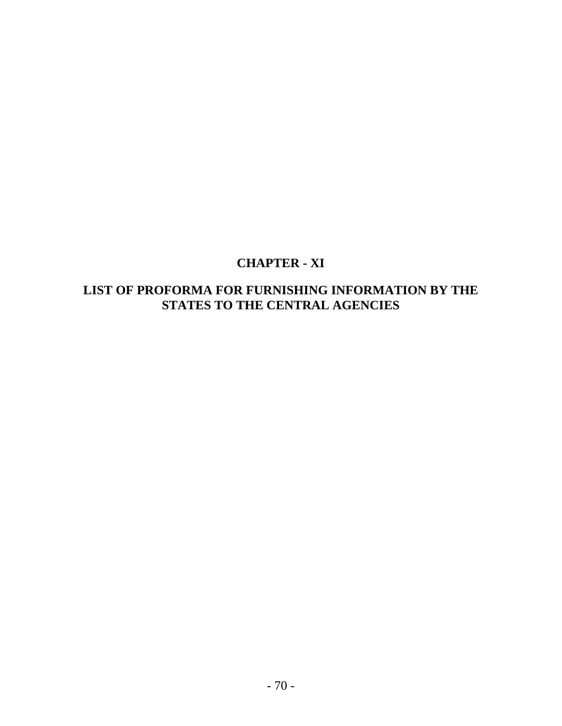# **CHAPTER - XI**

# **LIST OF PROFORMA FOR FURNISHING INFORMATION BY THE STATES TO THE CENTRAL AGENCIES**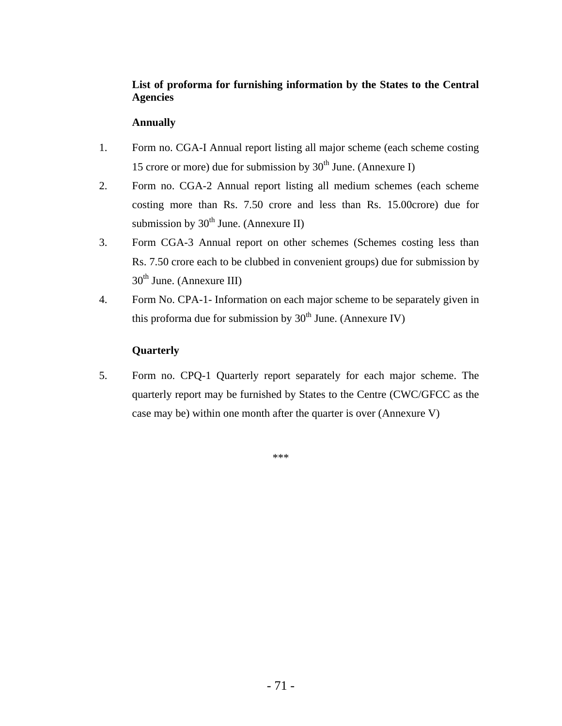# **List of proforma for furnishing information by the States to the Central Agencies**

### **Annually**

- 1. Form no. CGA-I Annual report listing all major scheme (each scheme costing 15 crore or more) due for submission by  $30<sup>th</sup>$  June. (Annexure I)
- 2. Form no. CGA-2 Annual report listing all medium schemes (each scheme costing more than Rs. 7.50 crore and less than Rs. 15.00crore) due for submission by  $30<sup>th</sup>$  June. (Annexure II)
- 3. Form CGA-3 Annual report on other schemes (Schemes costing less than Rs. 7.50 crore each to be clubbed in convenient groups) due for submission by  $30<sup>th</sup>$  June. (Annexure III)
- 4. Form No. CPA-1- Information on each major scheme to be separately given in this proforma due for submission by  $30<sup>th</sup>$  June. (Annexure IV)

# **Quarterly**

5. Form no. CPQ-1 Quarterly report separately for each major scheme. The quarterly report may be furnished by States to the Centre (CWC/GFCC as the case may be) within one month after the quarter is over (Annexure V)

\*\*\*